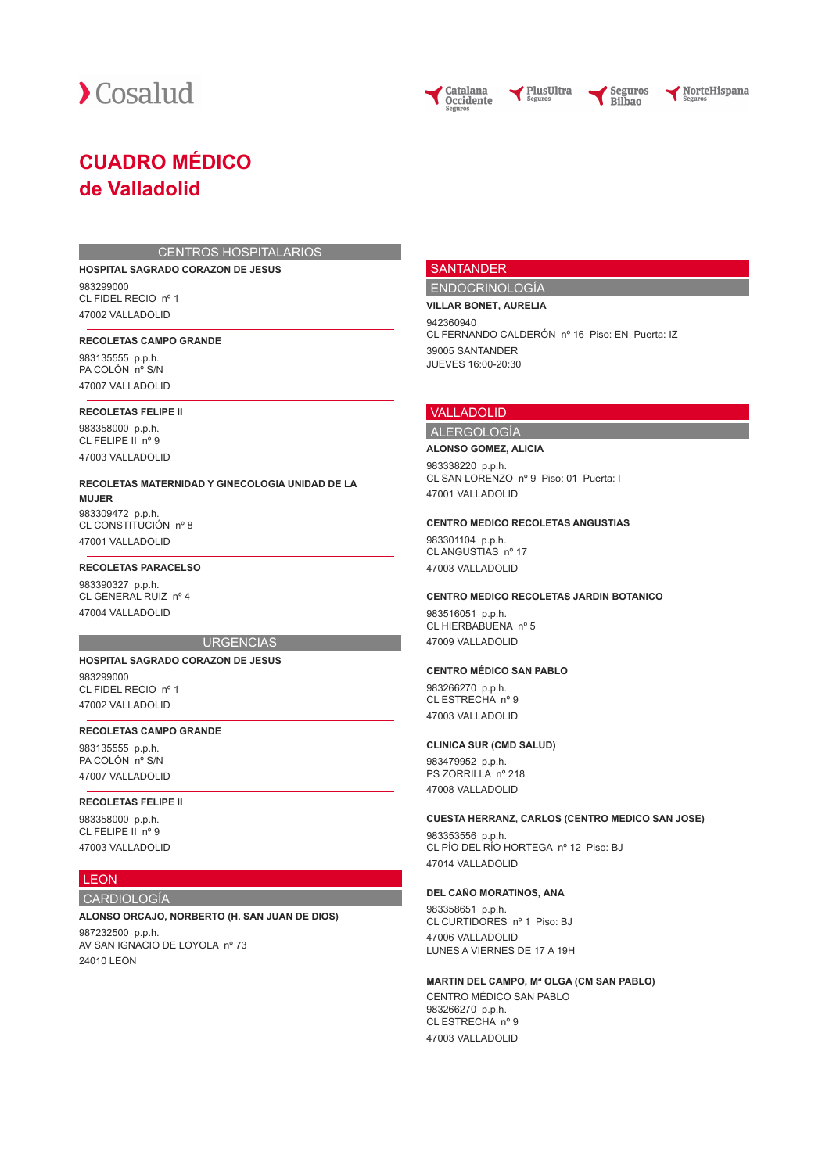



NorteHispana

# **CUADRO MÉDICO de Valladolid**

#### CENTROS HOSPITALARIOS

**HOSPITAL SAGRADO CORAZON DE JESUS**

983299000 CL FIDEL RECIO nº 1 47002 VALLADOLID

# **RECOLETAS CAMPO GRANDE**

983135555 p.p.h. PA COLÓN nº S/N 47007 VALLADOLID

#### **RECOLETAS FELIPE II**

983358000 p.p.h. CL FELIPE II nº 9 47003 VALLADOLID

**RECOLETAS MATERNIDAD Y GINECOLOGIA UNIDAD DE LA MUJER** 983309472 p.p.h.

CL CONSTITUCIÓN nº 8 47001 VALLADOLID

# **RECOLETAS PARACELSO**

983390327 p.p.h. CL GENERAL RUIZ nº 4 47004 VALLADOLID

#### **URGENCIAS**

#### **HOSPITAL SAGRADO CORAZON DE JESUS** 983299000 CL FIDEL RECIO nº 1

47002 VALLADOLID

# **RECOLETAS CAMPO GRANDE**

983135555 p.p.h. PA COLÓN nº S/N 47007 VALLADOLID

# **RECOLETAS FELIPE II**

983358000 p.p.h. CL FELIPE II nº 9 47003 VALLADOLID

# **LEON**

CARDIOLOGÍA

# **ALONSO ORCAJO, NORBERTO (H. SAN JUAN DE DIOS)**

987232500 p.p.h. AV SAN IGNACIO DE LOYOLA nº 73 24010 LEON

# **SANTANDER**

# ENDOCRINOLOGÍA

**VILLAR BONET, AURELIA** 942360940 CL FERNANDO CALDERÓN nº 16 Piso: EN Puerta: IZ 39005 SANTANDER JUEVES 16:00-20:30

#### VALLADOLID

ALERGOLOGÍA **ALONSO GOMEZ, ALICIA**

983338220 p.p.h. CL SAN LORENZO nº 9 Piso: 01 Puerta: I

47001 VALLADOLID

#### **CENTRO MEDICO RECOLETAS ANGUSTIAS**

983301104 p.p.h. CL ANGUSTIAS nº 17 47003 VALLADOLID

#### **CENTRO MEDICO RECOLETAS JARDIN BOTANICO**

983516051 p.p.h. CL HIERBABUENA nº 5 47009 VALLADOLID

# **CENTRO MÉDICO SAN PABLO**

983266270 p.p.h. CL ESTRECHA nº 9 47003 VALLADOLID

#### **CLINICA SUR (CMD SALUD)**

983479952 p.p.h. PS ZORRILLA nº 218 47008 VALLADOLID

## **CUESTA HERRANZ, CARLOS (CENTRO MEDICO SAN JOSE)**

983353556 p.p.h. CL PÍO DEL RÍO HORTEGA nº 12 Piso: BJ 47014 VALLADOLID

# **DEL CAÑO MORATINOS, ANA**

983358651 p.p.h. CL CURTIDORES nº 1 Piso: BJ 47006 VALLADOLID LUNES A VIERNES DE 17 A 19H

# **MARTIN DEL CAMPO, Mª OLGA (CM SAN PABLO)**

CENTRO MÉDICO SAN PABLO 983266270 p.p.h. CL ESTRECHA nº 9 47003 VALLADOLID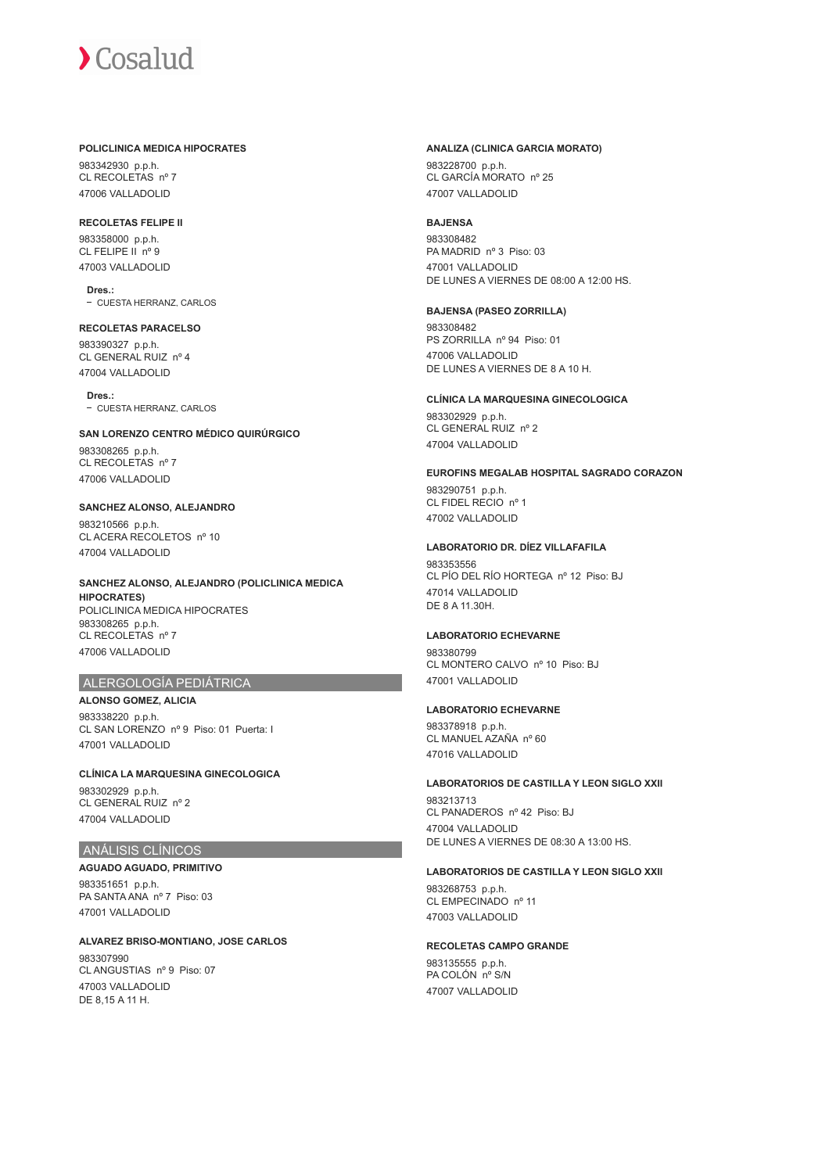#### **POLICLINICA MEDICA HIPOCRATES**

983342930 p.p.h. CL RECOLETAS nº 7 47006 VALLADOLID

#### **RECOLETAS FELIPE II**

983358000 p.p.h. CL FELIPE II nº 9 47003 VALLADOLID

**Dres.:** CUESTA HERRANZ, CARLOS

# **RECOLETAS PARACELSO** 983390327 p.p.h. CL GENERAL RUIZ nº 4 47004 VALLADOLID

**Dres.:** - CUESTA HERRANZ, CARLOS

# **SAN LORENZO CENTRO MÉDICO QUIRÚRGICO**

983308265 p.p.h. CL RECOLETAS nº 7 47006 VALLADOLID

# **SANCHEZ ALONSO, ALEJANDRO**

983210566 p.p.h. CL ACERA RECOLETOS nº 10 47004 VALLADOLID

**SANCHEZ ALONSO, ALEJANDRO (POLICLINICA MEDICA HIPOCRATES)** POLICLINICA MEDICA HIPOCRATES 983308265 p.p.h. CL RECOLETAS nº 7 47006 VALLADOLID

# ALERGOLOGÍA PEDIÁTRICA

# **ALONSO GOMEZ, ALICIA** 983338220 p.p.h.

CL SAN LORENZO nº 9 Piso: 01 Puerta: I 47001 VALLADOLID

**CLÍNICA LA MARQUESINA GINECOLOGICA** 983302929 p.p.h. CL GENERAL RUIZ nº 2 47004 VALLADOLID

# ANÁLISIS CLÍNICOS

**AGUADO AGUADO, PRIMITIVO** 983351651 p.p.h. PA SANTA ANA nº 7 Piso: 03 47001 VALLADOLID

### **ALVAREZ BRISO-MONTIANO, JOSE CARLOS** 983307990 CL ANGUSTIAS nº 9 Piso: 07 47003 VALLADOLID DE 8,15 A 11 H.

#### **ANALIZA (CLINICA GARCIA MORATO)**

983228700 p.p.h. CL GARCÍA MORATO nº 25 47007 VALLADOLID

# **BAJENSA**

983308482 PA MADRID nº 3 Piso: 03 47001 VALLADOLID DE LUNES A VIERNES DE 08:00 A 12:00 HS.

# **BAJENSA (PASEO ZORRILLA)**

983308482 PS ZORRILLA nº 94 Piso: 01 47006 VALLADOLID DE LUNES A VIERNES DE 8 A 10 H.

# **CLÍNICA LA MARQUESINA GINECOLOGICA**

983302929 p.p.h. CL GENERAL RUIZ nº 2 47004 VALLADOLID

# **EUROFINS MEGALAB HOSPITAL SAGRADO CORAZON**

983290751 p.p.h. CL FIDEL RECIO nº 1 47002 VALLADOLID

#### **LABORATORIO DR. DÍEZ VILLAFAFILA**

983353556 CL PÍO DEL RÍO HORTEGA nº 12 Piso: BJ 47014 VALLADOLID DE 8 A 11.30H.

# **LABORATORIO ECHEVARNE**

983380799 CL MONTERO CALVO nº 10 Piso: BJ 47001 VALLADOLID

# **LABORATORIO ECHEVARNE**

983378918 p.p.h. CL MANUEL AZAÑA nº 60 47016 VALLADOLID

# **LABORATORIOS DE CASTILLA Y LEON SIGLO XXII**

983213713 CL PANADEROS nº 42 Piso: BJ 47004 VALLADOLID DE LUNES A VIERNES DE 08:30 A 13:00 HS.

#### **LABORATORIOS DE CASTILLA Y LEON SIGLO XXII**

983268753 p.p.h. CL EMPECINADO nº 11 47003 VALLADOLID

# **RECOLETAS CAMPO GRANDE**

983135555 p.p.h. PA COLÓN nº S/N 47007 VALLADOLID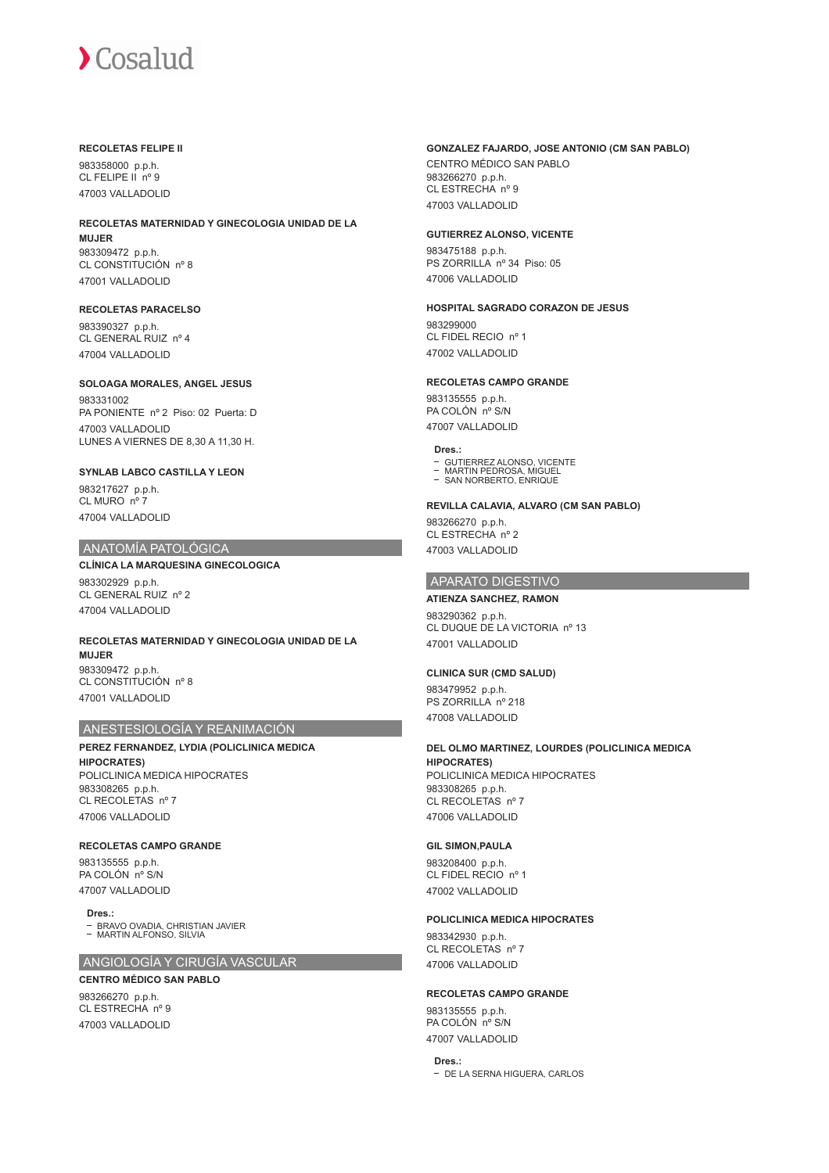#### **RECOLETAS FELIPE II**

983358000 p.p.h. CL FELIPE II nº 9 47003 VALLADOLID

# **RECOLETAS MATERNIDAD Y GINECOLOGIA UNIDAD DE LA MUJER** 983309472 p.p.h.

CL CONSTITUCIÓN nº 8 47001 VALLADOLID

### **RECOLETAS PARACELSO**

983390327 p.p.h. CL GENERAL RUIZ nº 4 47004 VALLADOLID

# **SOLOAGA MORALES, ANGEL JESUS**

983331002 PA PONIENTE nº 2 Piso: 02 Puerta: D 47003 VALLADOLID LUNES A VIERNES DE 8,30 A 11,30 H.

# **SYNLAB LABCO CASTILLA Y LEON**

983217627 p.p.h. CL MURO nº 7 47004 VALLADOLID

# ANATOMÍA PATOLÓGICA

# **CLÍNICA LA MARQUESINA GINECOLOGICA**

983302929 p.p.h. CL GENERAL RUIZ nº 2 47004 VALLADOLID

#### **RECOLETAS MATERNIDAD Y GINECOLOGIA UNIDAD DE LA MUJER** 983309472 p.p.h. CL CONSTITUCIÓN nº 8 47001 VALLADOLID

# ANESTESIOLOGÍA Y REANIMACIÓN

# **PEREZ FERNANDEZ, LYDIA (POLICLINICA MEDICA HIPOCRATES)**

POLICLINICA MEDICA HIPOCRATES 983308265 p.p.h. CL RECOLETAS nº 7 47006 VALLADOLID

# **RECOLETAS CAMPO GRANDE**

983135555 p.p.h. PA COLÓN nº S/N 47007 VALLADOLID

**Dres.:**  $\bar{\mathbb{I}}$ BRAVO OVADIA, CHRISTIAN JAVIER MARTIN ALFONSO, SILVIA

# ANGIOLOGÍA Y CIRUGÍA VASCULAR

# **CENTRO MÉDICO SAN PABLO**

983266270 p.p.h. CL ESTRECHA nº 9 47003 VALLADOLID

# **GONZALEZ FAJARDO, JOSE ANTONIO (CM SAN PABLO)**

CENTRO MÉDICO SAN PABLO 983266270 p.p.h. CL ESTRECHA nº 9 47003 VALLADOLID

#### **GUTIERREZ ALONSO, VICENTE**

983475188 p.p.h. PS ZORRILLA nº 34 Piso: 05 47006 VALLADOLID

#### **HOSPITAL SAGRADO CORAZON DE JESUS**

983299000 CL FIDEL RECIO nº 1 47002 VALLADOLID

# **RECOLETAS CAMPO GRANDE**

983135555 p.p.h. PA COLÓN nº S/N 47007 VALLADOLID

#### **Dres.:**

- GUTIERREZ ALONSO, VICENTE MARTIN PEDROSA, MIGUEL
- SAN NORBERTO, ENRIQUE

#### **REVILLA CALAVIA, ALVARO (CM SAN PABLO)**

983266270 p.p.h. CL ESTRECHA nº 2 47003 VALLADOLID

# APARATO DIGESTIVO

# **ATIENZA SANCHEZ, RAMON**

983290362 p.p.h. CL DUQUE DE LA VICTORIA nº 13 47001 VALLADOLID

#### **CLINICA SUR (CMD SALUD)**

983479952 p.p.h. PS ZORRILLA nº 218 47008 VALLADOLID

#### **DEL OLMO MARTINEZ, LOURDES (POLICLINICA MEDICA**

**HIPOCRATES)** POLICLINICA MEDICA HIPOCRATES 983308265 p.p.h. CL RECOLETAS nº 7 47006 VALLADOLID

# **GIL SIMON,PAULA**

983208400 p.p.h. CL FIDEL RECIO nº 1 47002 VALLADOLID

#### **POLICLINICA MEDICA HIPOCRATES**

983342930 p.p.h. CL RECOLETAS nº 7 47006 VALLADOLID

#### **RECOLETAS CAMPO GRANDE**

983135555 p.p.h. PA COLÓN nº S/N 47007 VALLADOLID

**Dres.:** DE LA SERNA HIGUERA, CARLOS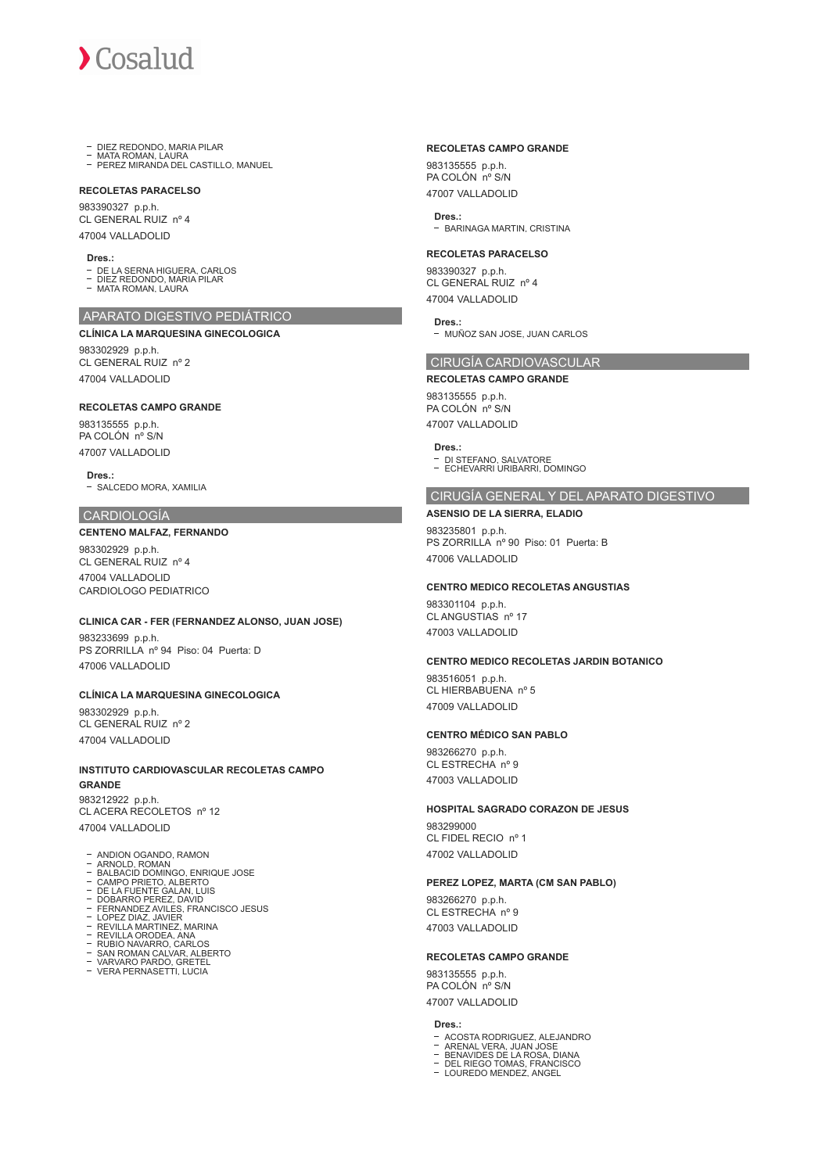

- DIEZ REDONDO, MARIA PILAR
- MATA ROMAN, LAURA PEREZ MIRANDA DEL CASTILLO, MANUEL

# **RECOLETAS PARACELSO**

983390327 p.p.h. CL GENERAL RUIZ nº 4 47004 VALLADOLID

#### **Dres.:**

- DE LA SERNA HIGUERA, CARLOS
- DIEZ REDONDO, MARIA PILAR MATA ROMAN, LAURA

### APARATO DIGESTIVO PEDIÁTRICO **CLÍNICA LA MARQUESINA GINECOLOGICA**

983302929 p.p.h. CL GENERAL RUIZ nº 2 47004 VALLADOLID

#### **RECOLETAS CAMPO GRANDE**

983135555 p.p.h. PA COLÓN nº S/N 47007 VALLADOLID

**Dres.:** - SALCEDO MORA, XAMILIA

#### CARDIOLOGÍA

**CENTENO MALFAZ, FERNANDO**

983302929 p.p.h. CL GENERAL RUIZ nº 4 47004 VALLADOLID CARDIOLOGO PEDIATRICO

#### **CLINICA CAR - FER (FERNANDEZ ALONSO, JUAN JOSE)**

983233699 p.p.h. PS ZORRILLA nº 94 Piso: 04 Puerta: D 47006 VALLADOLID

#### **CLÍNICA LA MARQUESINA GINECOLOGICA**

983302929 p.p.h. CL GENERAL RUIZ nº 2 47004 VALLADOLID

#### **INSTITUTO CARDIOVASCULAR RECOLETAS CAMPO GRANDE**

983212922 p.p.h. CL ACERA RECOLETOS nº 12 47004 VALLADOLID

- ANDION OGANDO, RAMON ARNOLD, ROMAN BALBACID DOMINGO, ENRIQUE JOSE
- 
- 
- CAMPO PRIETO, ALBERTO<br>DE LA FUENTE GALAN, LUIS<br>DOBARRO PEREZ, DAVID<br>FERNANDEZ AVILES, FRANCISCO JESUS<br>LOPEZ DIAZ, JAVIER<br>REVILLA MARTINEZ, MARINA<br>REVILLA MARTINEZ, MARINA<br>RUBIO NAVARRO, CARLOS
- 
- 
- 
- 
- SAN ROMAN CALVAR, ALBERTO VARVARO PARDO, GRETEL VERA PERNASETTI, LUCIA
- 

## **RECOLETAS CAMPO GRANDE**

983135555 p.p.h. PA COLÓN nº S/N 47007 VALLADOLID

**Dres.:** - BARINAGA MARTIN, CRISTINA

# **RECOLETAS PARACELSO**

983390327 p.p.h. CL GENERAL RUIZ nº 4 47004 VALLADOLID

#### **Dres.:**

- MUÑOZ SAN JOSE, JUAN CARLOS

#### CIRUGÍA CARDIOVASCULAR

**RECOLETAS CAMPO GRANDE** 983135555 p.p.h. PA COLÓN nº S/N

47007 VALLADOLID

**Dres.:**

DI STEFANO, SALVATORE ECHEVARRI URIBARRI, DOMINGO

# CIRUGÍA GENERAL Y DEL APARATO DIGESTIVO

**ASENSIO DE LA SIERRA, ELADIO** 983235801 p.p.h. PS ZORRILLA nº 90 Piso: 01 Puerta: B 47006 VALLADOLID

## **CENTRO MEDICO RECOLETAS ANGUSTIAS**

983301104 p.p.h. CL ANGUSTIAS nº 17 47003 VALLADOLID

#### **CENTRO MEDICO RECOLETAS JARDIN BOTANICO**

983516051 p.p.h. CL HIERBABUENA nº 5 47009 VALLADOLID

#### **CENTRO MÉDICO SAN PABLO**

983266270 p.p.h. CL ESTRECHA nº 9 47003 VALLADOLID

#### **HOSPITAL SAGRADO CORAZON DE JESUS**

983299000 CL FIDEL RECIO nº 1 47002 VALLADOLID

#### **PEREZ LOPEZ, MARTA (CM SAN PABLO)**

983266270 p.p.h. CL ESTRECHA nº 9 47003 VALLADOLID

#### **RECOLETAS CAMPO GRANDE**

983135555 p.p.h. PA COLÓN nº S/N 47007 VALLADOLID

#### **Dres.:**

- 
- ACOSTA RODRIGUEZ, ALEJANDRO<br>ARENAL VERA, JUAN JOSE<br>BENAVIDES DE LA ROSA, DIANA<br>DEL RIEGO TOMAS, FRANCISCO<br>LOUREDO MENDEZ, ANGEL
- 
-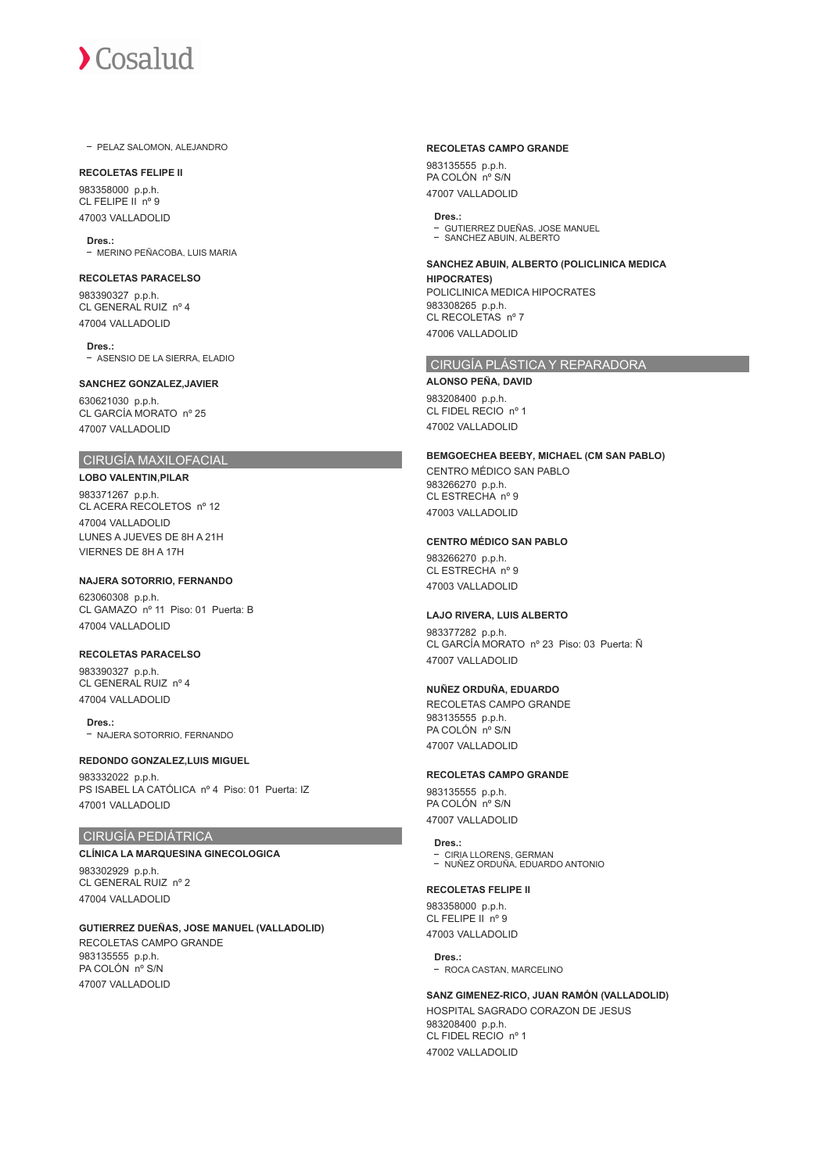- PELAZ SALOMON, ALEJANDRO

#### **RECOLETAS FELIPE II**

983358000 p.p.h. CL FELIPE II nº 9 47003 VALLADOLID

**Dres.:** - MERINO PEÑACOBA, LUIS MARIA

# **RECOLETAS PARACELSO** 983390327 p.p.h. CL GENERAL RUIZ nº 4

47004 VALLADOLID

**Dres.:** ASENSIO DE LA SIERRA, ELADIO

#### **SANCHEZ GONZALEZ,JAVIER**

630621030 p.p.h. CL GARCÍA MORATO nº 25 47007 VALLADOLID

# CIRUGÍA MAXILOFACIAL

**LOBO VALENTIN,PILAR** 983371267 p.p.h. CL ACERA RECOLETOS nº 12 47004 VALLADOLID LUNES A JUEVES DE 8H A 21H VIERNES DE 8H A 17H

# **NAJERA SOTORRIO, FERNANDO**

623060308 p.p.h. CL GAMAZO nº 11 Piso: 01 Puerta: B 47004 VALLADOLID

# **RECOLETAS PARACELSO**

983390327 p.p.h. CL GENERAL RUIZ nº 4 47004 VALLADOLID

**Dres.:** - NAJERA SOTORRIO, FERNANDO

# **REDONDO GONZALEZ,LUIS MIGUEL**

983332022 p.p.h. PS ISABEL LA CATÓLICA nº 4 Piso: 01 Puerta: IZ 47001 VALLADOLID

# CIRUGÍA PEDIÁTRICA

**CLÍNICA LA MARQUESINA GINECOLOGICA** 983302929 p.p.h. CL GENERAL RUIZ nº 2 47004 VALLADOLID

# **GUTIERREZ DUEÑAS, JOSE MANUEL (VALLADOLID)**

RECOLETAS CAMPO GRANDE 983135555 p.p.h. PA COLÓN nº S/N 47007 VALLADOLID

#### **RECOLETAS CAMPO GRANDE**

983135555 p.p.h. PA COLÓN nº S/N 47007 VALLADOLID

**Dres.:** GUTIERREZ DUEÑAS, JOSE MANUEL SANCHEZ ABUIN, ALBERTO

**SANCHEZ ABUIN, ALBERTO (POLICLINICA MEDICA** 

**HIPOCRATES)** POLICLINICA MEDICA HIPOCRATES 983308265 p.p.h. CL RECOLETAS nº 7 47006 VALLADOLID

# CIRUGÍA PLÁSTICA Y REPARADORA

**ALONSO PEÑA, DAVID** 983208400 p.p.h. CL FIDEL RECIO nº 1 47002 VALLADOLID

#### **BEMGOECHEA BEEBY, MICHAEL (CM SAN PABLO)**

CENTRO MÉDICO SAN PABLO 983266270 p.p.h. CL ESTRECHA nº 9 47003 VALLADOLID

#### **CENTRO MÉDICO SAN PABLO**

983266270 p.p.h. CL ESTRECHA nº 9 47003 VALLADOLID

#### **LAJO RIVERA, LUIS ALBERTO**

983377282 p.p.h. CL GARCÍA MORATO nº 23 Piso: 03 Puerta: Ñ 47007 VALLADOLID

# **NUÑEZ ORDUÑA, EDUARDO**

RECOLETAS CAMPO GRANDE 983135555 p.p.h. PA COLÓN nº S/N 47007 VALLADOLID

#### **RECOLETAS CAMPO GRANDE**

983135555 p.p.h. PA COLÓN nº S/N 47007 VALLADOLID

# **Dres.:**

CIRIA LLORENS, GERMAN NUÑEZ ORDUÑA, EDUARDO ANTONIO

## **RECOLETAS FELIPE II**

983358000 p.p.h. CL FELIPE II nº 9 47003 VALLADOLID

**Dres.:** - ROCA CASTAN, MARCELINO

**SANZ GIMENEZ-RICO, JUAN RAMÓN (VALLADOLID)** HOSPITAL SAGRADO CORAZON DE JESUS 983208400 p.p.h. CL FIDEL RECIO nº 1 47002 VALLADOLID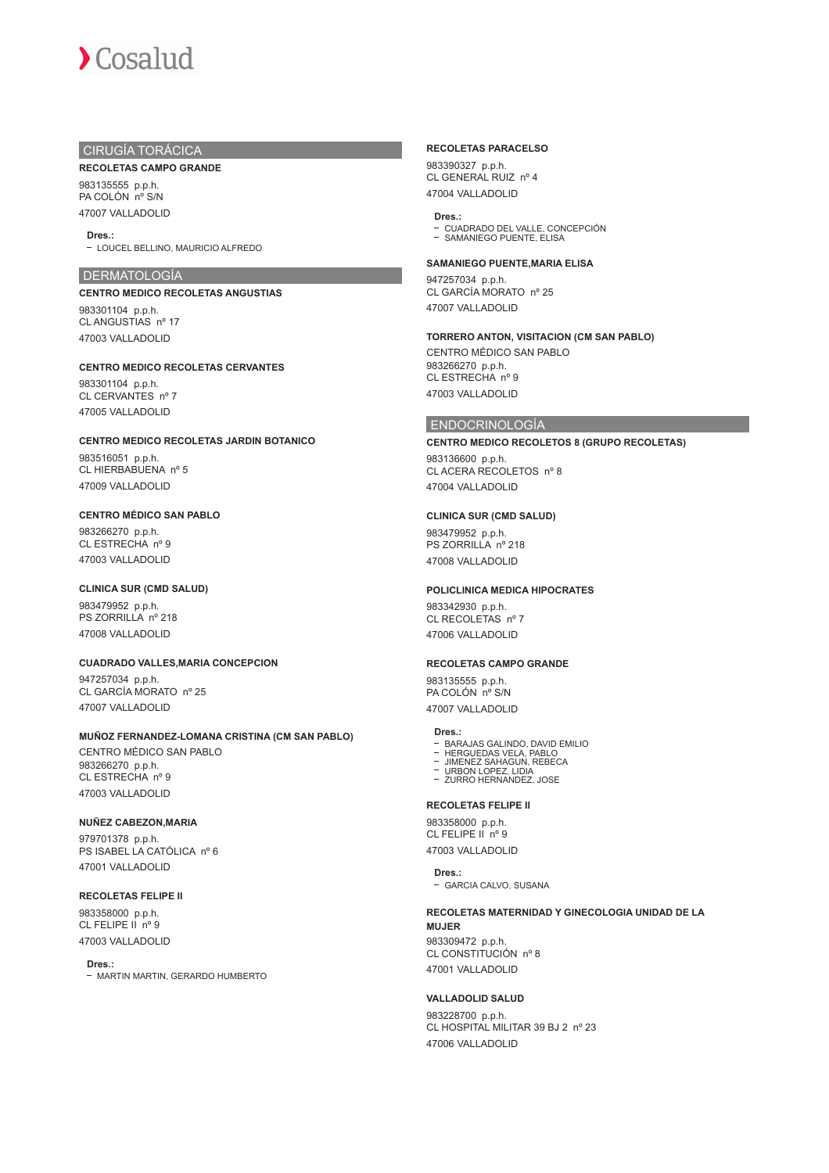# CIRUGÍA TORÁCICA

#### **RECOLETAS CAMPO GRANDE**

983135555 p.p.h. PA COLÓN nº S/N 47007 VALLADOLID

#### **Dres.:**

LOUCEL BELLINO, MAURICIO ALFREDO

#### DERMATOLOGÍA

#### **CENTRO MEDICO RECOLETAS ANGUSTIAS**

983301104 p.p.h. CL ANGUSTIAS nº 17 47003 VALLADOLID

#### **CENTRO MEDICO RECOLETAS CERVANTES**

983301104 p.p.h. CL CERVANTES nº 7 47005 VALLADOLID

#### **CENTRO MEDICO RECOLETAS JARDIN BOTANICO**

983516051 p.p.h. CL HIERBABUENA nº 5 47009 VALLADOLID

# **CENTRO MÉDICO SAN PABLO**

983266270 p.p.h. CL ESTRECHA nº 9 47003 VALLADOLID

#### **CLINICA SUR (CMD SALUD)**

983479952 p.p.h. PS ZORRILLA nº 218 47008 VALLADOLID

#### **CUADRADO VALLES,MARIA CONCEPCION**

947257034 p.p.h. CL GARCÍA MORATO nº 25 47007 VALLADOLID

# **MUÑOZ FERNANDEZ-LOMANA CRISTINA (CM SAN PABLO)**

CENTRO MÉDICO SAN PABLO 983266270 p.p.h. CL ESTRECHA nº 9 47003 VALLADOLID

# **NUÑEZ CABEZON,MARIA**

979701378 p.p.h. PS ISABEL LA CATÓLICA nº 6 47001 VALLADOLID

# **RECOLETAS FELIPE II**

983358000 p.p.h. CL FELIPE  $\overline{I}$  nº 9 47003 VALLADOLID

#### **Dres.:**

- MARTIN MARTIN, GERARDO HUMBERTO

#### **RECOLETAS PARACELSO**

983390327 p.p.h. CL GENERAL RUIZ nº 4 47004 VALLADOLID

# **Dres.:**

CUADRADO DEL VALLE, CONCEPCIÓN SAMANIEGO PUENTE, ELISA

#### **SAMANIEGO PUENTE,MARIA ELISA**

947257034 p.p.h. CL GARCÍA MORATO nº 25 47007 VALLADOLID

#### **TORRERO ANTON, VISITACION (CM SAN PABLO)**

CENTRO MÉDICO SAN PABLO 983266270 p.p.h. CL ESTRECHA nº 9 47003 VALLADOLID

#### ENDOCRINOLOGÍA

#### **CENTRO MEDICO RECOLETOS 8 (GRUPO RECOLETAS)**

983136600 p.p.h. CL ACERA RECOLETOS nº 8 47004 VALLADOLID

## **CLINICA SUR (CMD SALUD)**

983479952 p.p.h. PS ZORRILLA nº 218 47008 VALLADOLID

#### **POLICLINICA MEDICA HIPOCRATES**

983342930 p.p.h. CL RECOLETAS nº 7 47006 VALLADOLID

#### **RECOLETAS CAMPO GRANDE**

983135555 p.p.h. PA COLÓN nº S/N 47007 VALLADOLID

#### **Dres.:**

- 
- BARAJAS GALINDO, DAVID EMILIO HERGUEDAS VELA, PABLO JIMENEZ SAHAGUN, REBECA URBON LOPEZ, LIDIA
- 
- ZURRO HERNANDEZ, JOSE

# **RECOLETAS FELIPE II**

983358000 p.p.h. CL FELIPE IL nº 9 47003 VALLADOLID

#### **Dres.:**

GARCIA CALVO, SUSANA

#### **RECOLETAS MATERNIDAD Y GINECOLOGIA UNIDAD DE LA MUJER**

983309472 p.p.h. CL CONSTITUCIÓN nº 8 47001 VALLADOLID

# **VALLADOLID SALUD**

983228700 p.p.h. CL HOSPITAL MILITAR 39 BJ 2 nº 23 47006 VALLADOLID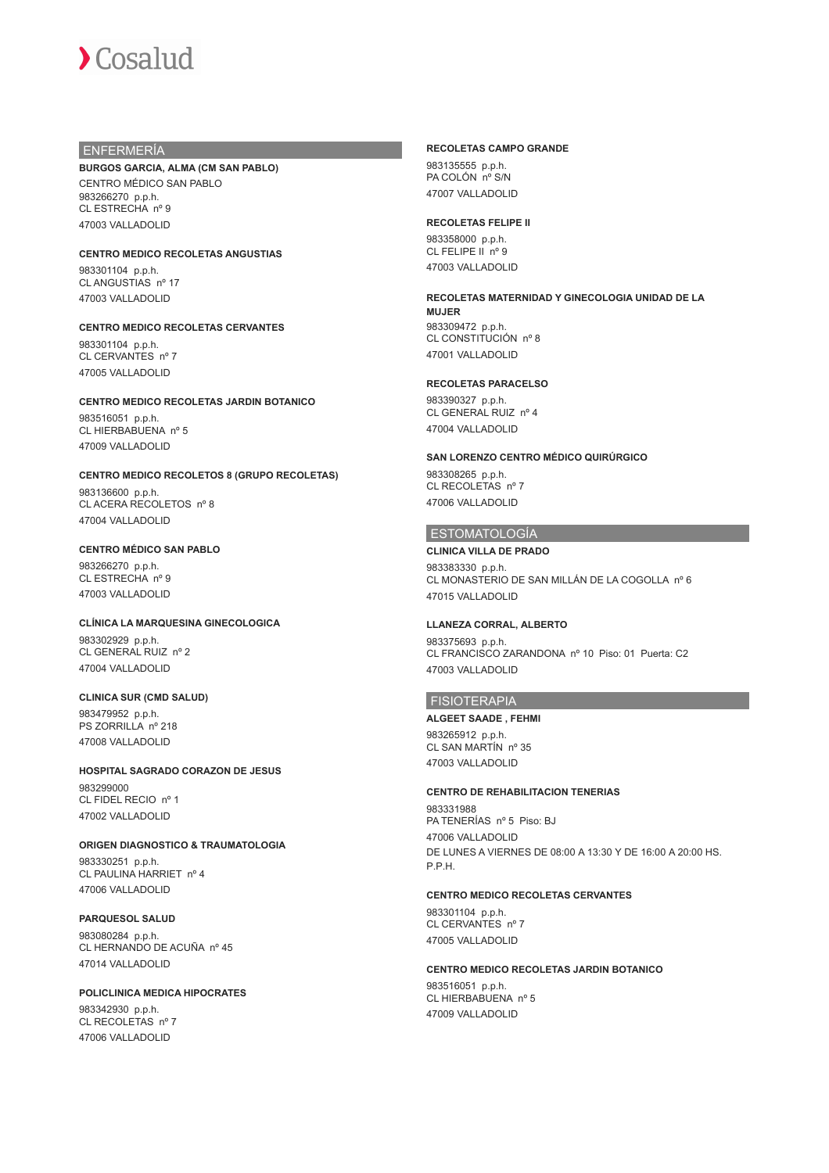# ENFERMERÍA

# **BURGOS GARCIA, ALMA (CM SAN PABLO)**

CENTRO MÉDICO SAN PABLO 983266270 p.p.h. CL ESTRECHA nº 9 47003 VALLADOLID

#### **CENTRO MEDICO RECOLETAS ANGUSTIAS**

983301104 p.p.h. CL ANGUSTIAS nº 17 47003 VALLADOLID

# **CENTRO MEDICO RECOLETAS CERVANTES**

983301104 p.p.h. CL CERVANTES nº 7 47005 VALLADOLID

# **CENTRO MEDICO RECOLETAS JARDIN BOTANICO**

983516051 p.p.h. CL HIERBABUENA nº 5 47009 VALLADOLID

#### **CENTRO MEDICO RECOLETOS 8 (GRUPO RECOLETAS)**

983136600 p.p.h. CL ACERA RECOLETOS nº 8 47004 VALLADOLID

# **CENTRO MÉDICO SAN PABLO**

983266270 p.p.h. CL ESTRECHA nº 9 47003 VALLADOLID

## **CLÍNICA LA MARQUESINA GINECOLOGICA**

983302929 p.p.h. CL GENERAL RUIZ nº 2 47004 VALLADOLID

#### **CLINICA SUR (CMD SALUD)**

983479952 p.p.h. PS ZORRILLA nº 218 47008 VALLADOLID

#### **HOSPITAL SAGRADO CORAZON DE JESUS**

983299000 CL FIDEL RECIO nº 1 47002 VALLADOLID

# **ORIGEN DIAGNOSTICO & TRAUMATOLOGIA**

983330251 p.p.h. CL PAULINA HARRIET nº 4 47006 VALLADOLID

#### **PARQUESOL SALUD**

983080284 p.p.h. CL HERNANDO DE ACUÑA nº 45 47014 VALLADOLID

# **POLICLINICA MEDICA HIPOCRATES** 983342930 p.p.h.

CL RECOLETAS nº 7 47006 VALLADOLID

#### **RECOLETAS CAMPO GRANDE**

983135555 p.p.h. PA COLÓN nº S/N 47007 VALLADOLID

# **RECOLETAS FELIPE II**

983358000 p.p.h. CL FELIPE II nº 9 47003 VALLADOLID

#### **RECOLETAS MATERNIDAD Y GINECOLOGIA UNIDAD DE LA MUJER**

983309472 p.p.h. CL CONSTITUCIÓN nº 8 47001 VALLADOLID

# **RECOLETAS PARACELSO**

983390327 p.p.h. CL GENERAL RUIZ nº 4 47004 VALLADOLID

# **SAN LORENZO CENTRO MÉDICO QUIRÚRGICO**

983308265 p.p.h. CL RECOLETAS nº 7 47006 VALLADOLID

# ESTOMATOLOGÍA

#### **CLINICA VILLA DE PRADO**

983383330 p.p.h. CL MONASTERIO DE SAN MILLÁN DE LA COGOLLA nº 6 47015 VALLADOLID

#### **LLANEZA CORRAL, ALBERTO**

983375693 p.p.h. CL FRANCISCO ZARANDONA nº 10 Piso: 01 Puerta: C2 47003 VALLADOLID

# FISIOTERAPIA

**ALGEET SAADE , FEHMI** 983265912 p.p.h. CL SAN MARTÍN nº 35 47003 VALLADOLID

#### **CENTRO DE REHABILITACION TENERIAS**

983331988 PA TENERÍAS nº 5 Piso: BJ 47006 VALLADOLID DE LUNES A VIERNES DE 08:00 A 13:30 Y DE 16:00 A 20:00 HS. P.P.H.

## **CENTRO MEDICO RECOLETAS CERVANTES**

983301104 p.p.h. CL CERVANTES nº 7 47005 VALLADOLID

#### **CENTRO MEDICO RECOLETAS JARDIN BOTANICO**

983516051 p.p.h. CL HIERBABUENA nº 5 47009 VALLADOLID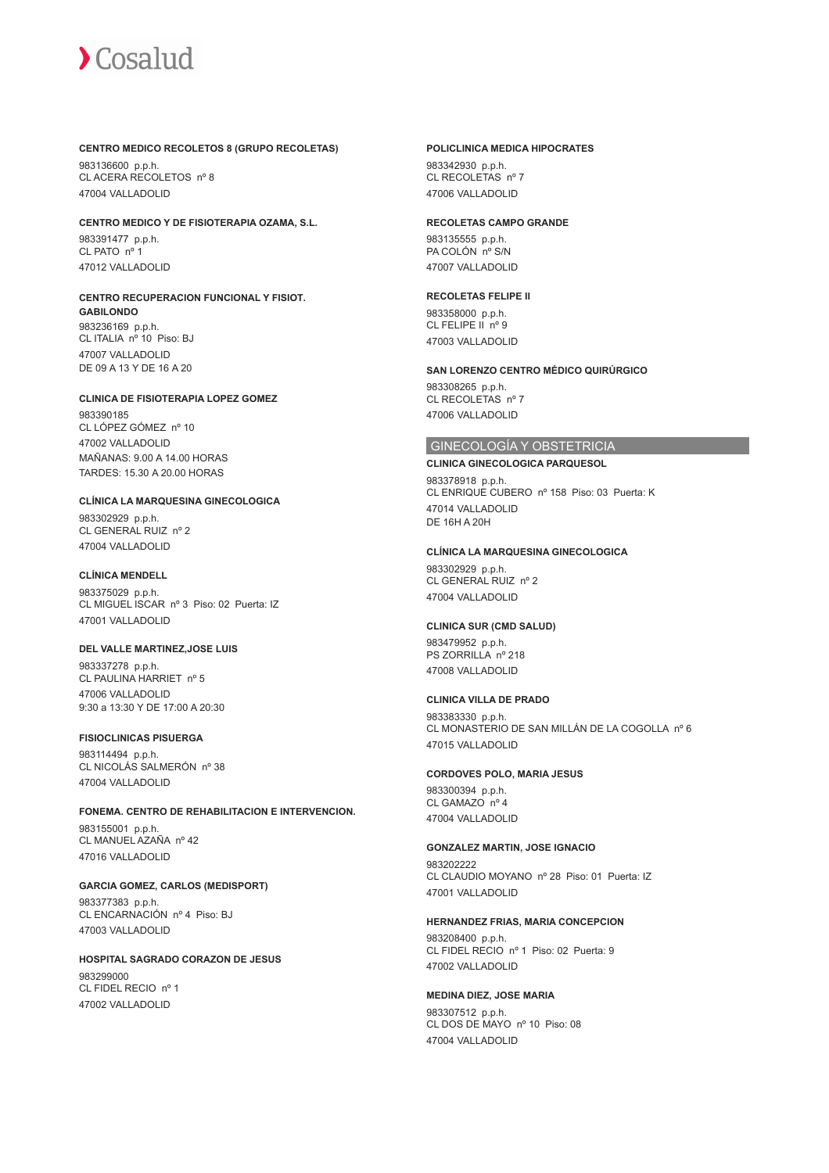#### **CENTRO MEDICO RECOLETOS 8 (GRUPO RECOLETAS)**

983136600 p.p.h. CL ACERA RECOLETOS nº 8 47004 VALLADOLID

#### **CENTRO MEDICO Y DE FISIOTERAPIA OZAMA, S.L.**

983391477 p.p.h. CL PATO nº 1 47012 VALLADOLID

# **CENTRO RECUPERACION FUNCIONAL Y FISIOT.**

**GABILONDO** 983236169 p.p.h. CL ITALIA nº 10 Piso: BJ 47007 VALLADOLID DE 09 A 13 Y DE 16 A 20

#### **CLINICA DE FISIOTERAPIA LOPEZ GOMEZ**

983390185 CL LÓPEZ GÓMEZ nº 10 47002 VALLADOLID MAÑANAS: 9.00 A 14.00 HORAS TARDES: 15.30 A 20.00 HORAS

## **CLÍNICA LA MARQUESINA GINECOLOGICA**

983302929 p.p.h. CL GENERAL RUIZ nº 2 47004 VALLADOLID

# **CLÍNICA MENDELL**

983375029 p.p.h. CL MIGUEL ISCAR nº 3 Piso: 02 Puerta: IZ 47001 VALLADOLID

#### **DEL VALLE MARTINEZ,JOSE LUIS**

983337278 p.p.h. CL PAULINA HARRIET nº 5 47006 VALLADOLID 9:30 a 13:30 Y DE 17:00 A 20:30

#### **FISIOCLINICAS PISUERGA**

983114494 p.p.h. CL NICOLÁS SALMERÓN nº 38 47004 VALLADOLID

#### **FONEMA. CENTRO DE REHABILITACION E INTERVENCION.**

983155001 p.p.h. CL MANUEL AZAÑA nº 42 47016 VALLADOLID

#### **GARCIA GOMEZ, CARLOS (MEDISPORT)**

983377383 p.p.h. CL ENCARNACIÓN nº 4 Piso: BJ 47003 VALLADOLID

# **HOSPITAL SAGRADO CORAZON DE JESUS**

983299000 CL FIDEL RECIO nº 1 47002 VALLADOLID

#### **POLICLINICA MEDICA HIPOCRATES**

983342930 p.p.h. CL RECOLETAS nº 7 47006 VALLADOLID

#### **RECOLETAS CAMPO GRANDE**

983135555 p.p.h. PA COLÓN nº S/N 47007 VALLADOLID

# **RECOLETAS FELIPE II**

983358000 p.p.h. CL FELIPE II nº 9 47003 VALLADOLID

### **SAN LORENZO CENTRO MÉDICO QUIRÚRGICO**

983308265 p.p.h. CL RECOLETAS nº 7 47006 VALLADOLID

# GINECOLOGÍA Y OBSTETRICIA

# **CLINICA GINECOLOGICA PARQUESOL**

983378918 p.p.h. CL ENRIQUE CUBERO nº 158 Piso: 03 Puerta: K 47014 VALLADOLID DE 16H A 20H

#### **CLÍNICA LA MARQUESINA GINECOLOGICA**

983302929 p.p.h. CL GENERAL RUIZ nº 2 47004 VALLADOLID

#### **CLINICA SUR (CMD SALUD)**

983479952 p.p.h. PS ZORRILLA nº 218 47008 VALLADOLID

# **CLINICA VILLA DE PRADO**

983383330 p.p.h. CL MONASTERIO DE SAN MILLÁN DE LA COGOLLA nº 6 47015 VALLADOLID

#### **CORDOVES POLO, MARIA JESUS**

983300394 p.p.h. CL GAMAZO nº 4 47004 VALLADOLID

#### **GONZALEZ MARTIN, JOSE IGNACIO**

983202222 CL CLAUDIO MOYANO nº 28 Piso: 01 Puerta: IZ 47001 VALLADOLID

#### **HERNANDEZ FRIAS, MARIA CONCEPCION**

983208400 p.p.h. CL FIDEL RECIO nº 1 Piso: 02 Puerta: 9 47002 VALLADOLID

#### **MEDINA DIEZ, JOSE MARIA**

983307512 p.p.h. CL DOS DE MAYO nº 10 Piso: 08 47004 VALLADOLID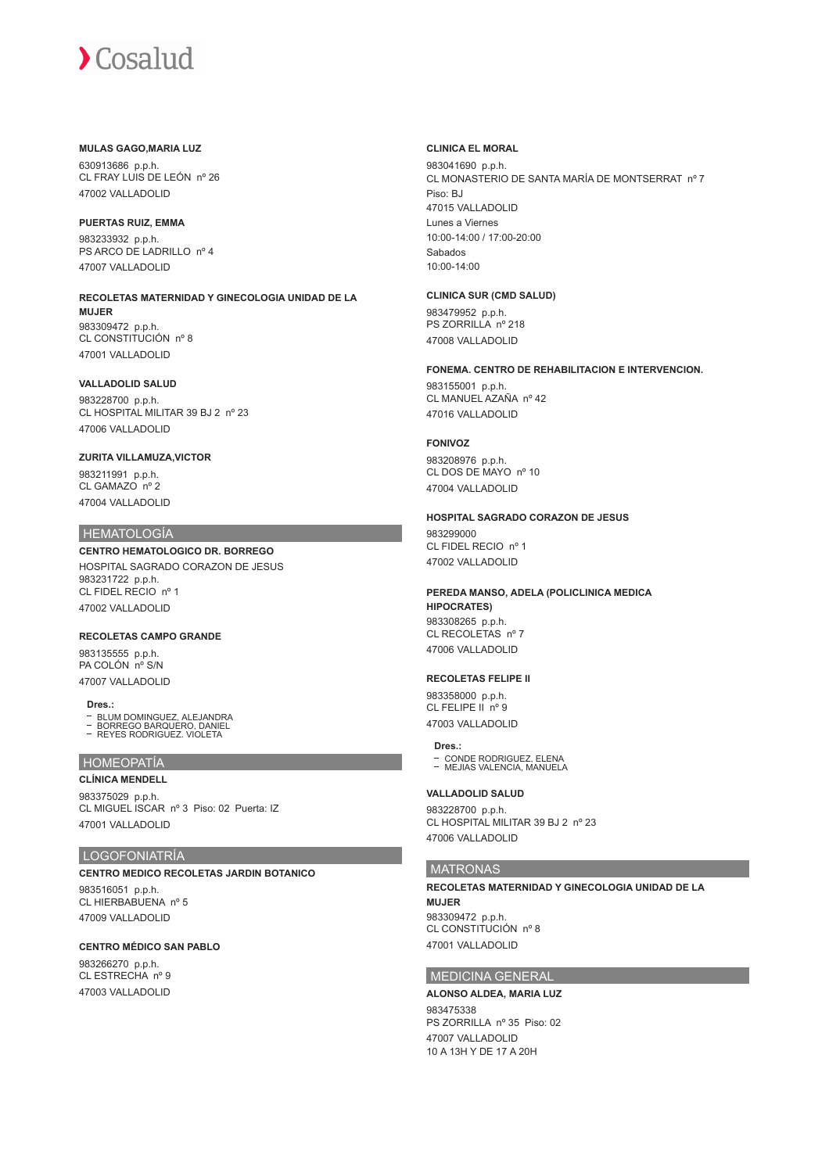# **MULAS GAGO,MARIA LUZ**

630913686 p.p.h. CL FRAY LUIS DE LEÓN nº 26 47002 VALLADOLID

#### **PUERTAS RUIZ, EMMA**

983233932 p.p.h. PS ARCO DE LADRILLO nº 4 47007 VALLADOLID

# **RECOLETAS MATERNIDAD Y GINECOLOGIA UNIDAD DE LA MUJER** 983309472 p.p.h.

CL CONSTITUCIÓN nº 8 47001 VALLADOLID

# **VALLADOLID SALUD**

983228700 p.p.h. CL HOSPITAL MILITAR 39 BJ 2 nº 23 47006 VALLADOLID

### **ZURITA VILLAMUZA,VICTOR**

983211991 p.p.h. CL GAMAZO nº 2 47004 VALLADOLID

# **HEMATOLOGÍA**

**CENTRO HEMATOLOGICO DR. BORREGO** HOSPITAL SAGRADO CORAZON DE JESUS 983231722 p.p.h. CL FIDEL RECIO nº 1 47002 VALLADOLID

# **RECOLETAS CAMPO GRANDE**

983135555 p.p.h. PA COLÓN nº S/N 47007 VALLADOLID

#### **Dres.:**

BLUM DOMINGUEZ, ALEJANDRA BORREGO BARQUERO, DANIEL

 $\overline{a}$ REYES RODRIGUEZ. VIOLETA

#### HOMEOPATÍA

47001 VALLADOLID

**CLÍNICA MENDELL** 983375029 p.p.h. CL MIGUEL ISCAR nº 3 Piso: 02 Puerta: IZ

# LOGOFONIATRÍA

# **CENTRO MEDICO RECOLETAS JARDIN BOTANICO**

983516051 p.p.h. CL HIERBABUENA nº 5 47009 VALLADOLID

#### **CENTRO MÉDICO SAN PABLO**

983266270 p.p.h. CL ESTRECHA nº 9 47003 VALLADOLID

#### **CLINICA EL MORAL**

983041690 p.p.h. CL MONASTERIO DE SANTA MARÍA DE MONTSERRAT nº 7 Piso: BJ 47015 VALLADOLID Lunes a Viernes 10:00-14:00 / 17:00-20:00 Sabados 10:00-14:00

# **CLINICA SUR (CMD SALUD)**

983479952 p.p.h. PS ZORRILLA nº 218 47008 VALLADOLID

# **FONEMA. CENTRO DE REHABILITACION E INTERVENCION.**

983155001 p.p.h. CL MANUEL AZAÑA nº 42 47016 VALLADOLID

# **FONIVOZ**

983208976 p.p.h. CL DOS DE MAYO nº 10 47004 VALLADOLID

# **HOSPITAL SAGRADO CORAZON DE JESUS**

0832000000 CL FIDEL RECIO nº 1 47002 VALLADOLID

#### **PEREDA MANSO, ADELA (POLICLINICA MEDICA HIPOCRATES)**

983308265 p.p.h. CL RECOLETAS nº 7 47006 VALLADOLID

#### **RECOLETAS FELIPE II**

983358000 p.p.h. CL FELIPE II nº 9 47003 VALLADOLID

#### **Dres.:**

CONDE RODRIGUEZ, ELENA MEJIAS VALENCIA, MANUELA

#### **VALLADOLID SALUD**

983228700 p.p.h. CL HOSPITAL MILITAR 39 BJ 2 nº 23 47006 VALLADOLID

# **MATRONAS**

**RECOLETAS MATERNIDAD Y GINECOLOGIA UNIDAD DE LA MUJER** 983309472 p.p.h. CL CONSTITUCIÓN nº 8 47001 VALLADOLID

# MEDICINA GENERAL

**ALONSO ALDEA, MARIA LUZ**

983475338 PS ZORRILLA nº 35 Piso: 02 47007 VALLADOLID 10 A 13H Y DE 17 A 20H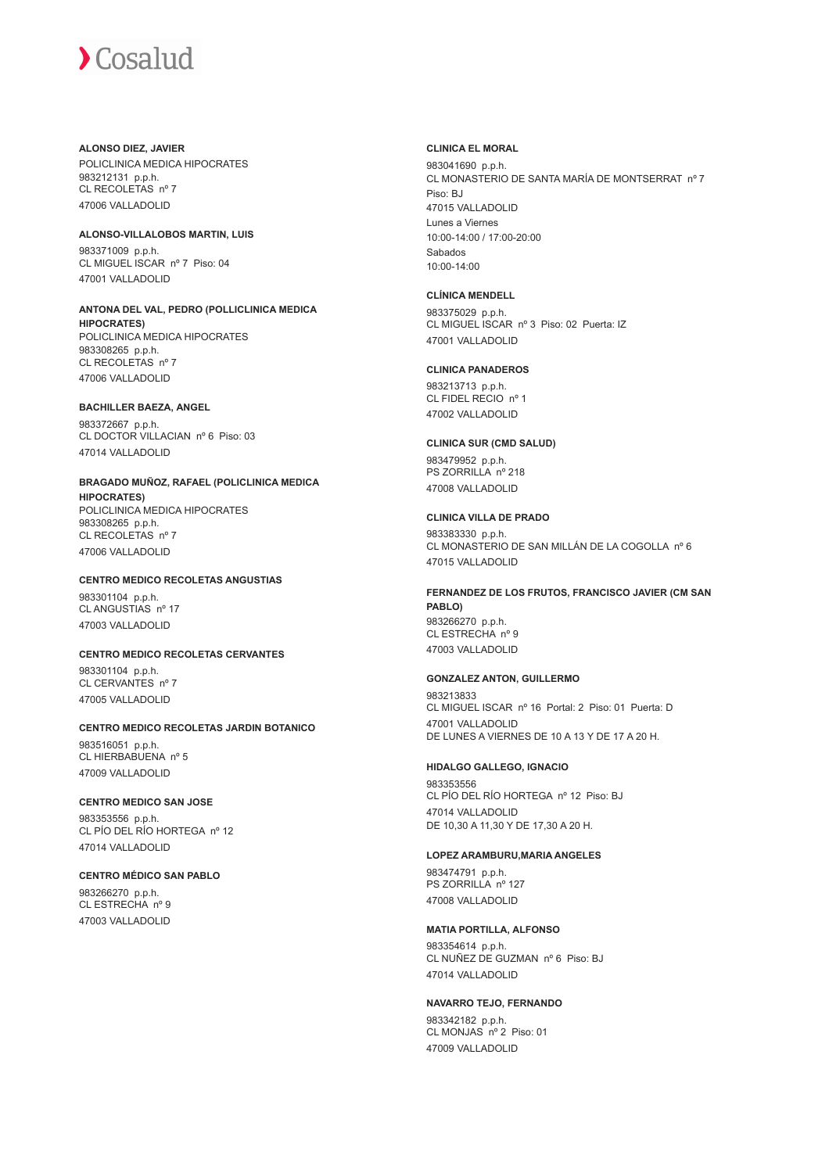# **ALONSO DIEZ, JAVIER**

POLICLINICA MEDICA HIPOCRATES 983212131 p.p.h. CL RECOLETAS nº 7 47006 VALLADOLID

# **ALONSO-VILLALOBOS MARTIN, LUIS**

983371009 p.p.h. CL MIGUEL ISCAR nº 7 Piso: 04 47001 VALLADOLID

#### **ANTONA DEL VAL, PEDRO (POLLICLINICA MEDICA HIPOCRATES)** POLICLINICA MEDICA HIPOCRATES 983308265 p.p.h. CL RECOLETAS nº 7

47006 VALLADOLID

# **BACHILLER BAEZA, ANGEL** 983372667 p.p.h.

CL DOCTOR VILLACIAN nº 6 Piso: 03 47014 VALLADOLID

# **BRAGADO MUÑOZ, RAFAEL (POLICLINICA MEDICA**

**HIPOCRATES)** POLICLINICA MEDICA HIPOCRATES 983308265 p.p.h. CL RECOLETAS nº 7 47006 VALLADOLID

# **CENTRO MEDICO RECOLETAS ANGUSTIAS**

983301104 p.p.h. CL ANGUSTIAS nº 17 47003 VALLADOLID

# **CENTRO MEDICO RECOLETAS CERVANTES**

983301104 p.p.h. CL CERVANTES nº 7 47005 VALLADOLID

# **CENTRO MEDICO RECOLETAS JARDIN BOTANICO**

983516051 p.p.h. CL HIERBABUENA nº 5 47009 VALLADOLID

# **CENTRO MEDICO SAN JOSE**

983353556 p.p.h. CL PÍO DEL RÍO HORTEGA nº 12 47014 VALLADOLID

# **CENTRO MÉDICO SAN PABLO**

983266270 p.p.h. CL ESTRECHA nº 9 47003 VALLADOLID

# **CLINICA EL MORAL**

983041690 p.p.h. CL MONASTERIO DE SANTA MARÍA DE MONTSERRAT nº 7 Piso: BJ 47015 VALLADOLID Lunes a Viernes 10:00-14:00 / 17:00-20:00 Sabados 10:00-14:00

# **CLÍNICA MENDELL**

983375029 p.p.h. CL MIGUEL ISCAR nº 3 Piso: 02 Puerta: IZ 47001 VALLADOLID

# **CLINICA PANADEROS**

983213713 p.p.h. CL FIDEL RECIO nº 1 47002 VALLADOLID

# **CLINICA SUR (CMD SALUD)**

983479952 p.p.h. PS ZORRILLA nº 218 47008 VALLADOLID

# **CLINICA VILLA DE PRADO**

983383330 p.p.h. CL MONASTERIO DE SAN MILLÁN DE LA COGOLLA nº 6 47015 VALLADOLID

#### **FERNANDEZ DE LOS FRUTOS, FRANCISCO JAVIER (CM SAN PABLO)** 983266270 p.p.h. CL ESTRECHA nº 9 47003 VALLADOLID

# **GONZALEZ ANTON, GUILLERMO**

983213833 CL MIGUEL ISCAR nº 16 Portal: 2 Piso: 01 Puerta: D 47001 VALLADOLID DE LUNES A VIERNES DE 10 A 13 Y DE 17 A 20 H.

# **HIDALGO GALLEGO, IGNACIO**

983353556 CL PÍO DEL RÍO HORTEGA nº 12 Piso: BJ 47014 VALLADOLID DE 10,30 A 11,30 Y DE 17,30 A 20 H.

# **LOPEZ ARAMBURU,MARIA ANGELES**

983474791 p.p.h. PS ZORRILLA nº 127 47008 VALLADOLID

# **MATIA PORTILLA, ALFONSO**

983354614 p.p.h. CL NUÑEZ DE GUZMAN nº 6 Piso: BJ 47014 VALLADOLID

# **NAVARRO TEJO, FERNANDO**

983342182 p.p.h. CL MONJAS nº 2 Piso: 01 47009 VALLADOLID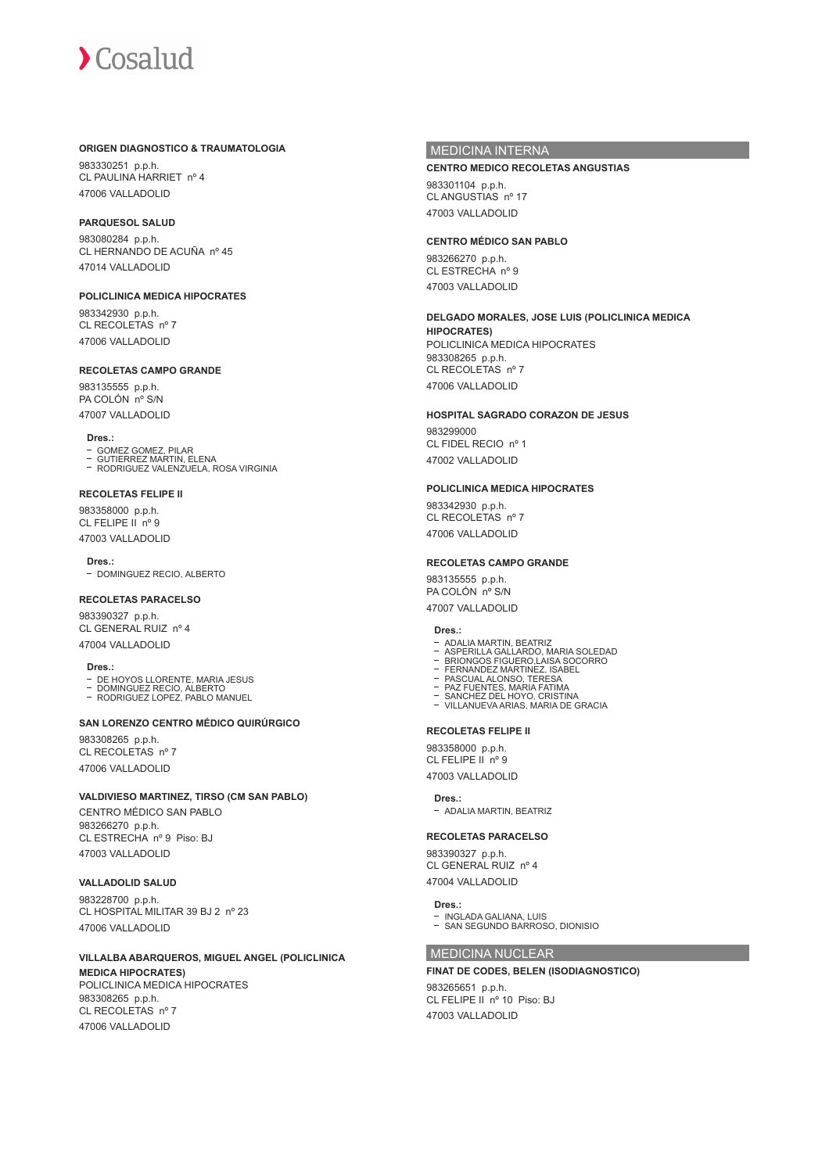### **ORIGEN DIAGNOSTICO & TRAUMATOLOGIA**

983330251 p.p.h. CL PAULINA HARRIET nº 4 47006 VALLADOLID

#### **PARQUESOL SALUD**

983080284 p.p.h. CL HERNANDO DE ACUÑA nº 45 47014 VALLADOLID

**POLICLINICA MEDICA HIPOCRATES** 983342930 p.p.h. CL RECOLETAS nº 7

47006 VALLADOLID

# **RECOLETAS CAMPO GRANDE**

983135555 p.p.h. PA COLÓN nº S/N 47007 VALLADOLID

#### **Dres.:**

- GOMEZ GOMEZ, PILAR GUTIERREZ MARTIN, ELENA RODRIGUEZ VALENZUELA, ROSA VIRGINIA
- 

# **RECOLETAS FELIPE II**

983358000 p.p.h. CL FELIPE II nº 9 47003 VALLADOLID

Dres.

- DOMINGUEZ RECIO, ALBERTO

# **RECOLETAS PARACELSO**

983390327 p.p.h. CL GENERAL RUIZ nº 4 47004 VALLADOLID

#### **Dres.:**

- 
- DE HOYOS LLORENTE, MARIA JESUS DOMINGUEZ RECIO, ALBERTO RODRIGUEZ LOPEZ, PABLO MANUEL

# **SAN LORENZO CENTRO MÉDICO QUIRÚRGICO**

983308265 p.p.h. CL RECOLETAS nº 7 47006 VALLADOLID

# **VALDIVIESO MARTINEZ, TIRSO (CM SAN PABLO)**

CENTRO MÉDICO SAN PABLO 983266270 p.p.h. CL ESTRECHA nº 9 Piso: BJ 47003 VALLADOLID

# **VALLADOLID SALUD**

983228700 p.p.h. CL HOSPITAL MILITAR 39 BJ 2 nº 23 47006 VALLADOLID

# **VILLALBA ABARQUEROS, MIGUEL ANGEL (POLICLINICA**

**MEDICA HIPOCRATES)** POLICLINICA MEDICA HIPOCRATES 983308265 p.p.h. CL RECOLETAS nº 7 47006 VALLADOLID

# MEDICINA INTERNA

#### **CENTRO MEDICO RECOLETAS ANGUSTIAS**

983301104 p.p.h. CL ANGUSTIAS nº 17 47003 VALLADOLID

# **CENTRO MÉDICO SAN PABLO**

983266270 p.p.h. CL ESTRECHA nº 9 47003 VALLADOLID

# **DELGADO MORALES, JOSE LUIS (POLICLINICA MEDICA**

**HIPOCRATES)** POLICLINICA MEDICA HIPOCRATES 983308265 p.p.h. CL RECOLETAS nº 7 47006 VALLADOLID

# **HOSPITAL SAGRADO CORAZON DE JESUS**

983299000 CL FIDEL RECIO nº 1 47002 VALLADOLID

# **POLICLINICA MEDICA HIPOCRATES**

983342930 p.p.h. CL RECOLETAS nº 7 47006 VALLADOLID

# **RECOLETAS CAMPO GRANDE**

983135555 p.p.h. PA COLÓN nº S/N 47007 VALLADOLID

#### **Dres.:**

- 
- ADALIA MARTIN. BEATRIZ<br>ASPERILLA GALLARDO, MARIA SOLEDAD<br>BRIONGOS FIGUERO,LAISA SOCORRO<br>FERNANDEZ MARTINEZ, ISABEL
- 
- PASCUAL ALONSO, TERESA PAZ FUENTES, MARIA FATIMA SANCHEZ DEL HOYO, CRISTINA
- 
- VILLANUEVA ARIAS, MARIA DE GRACIA

## **RECOLETAS FELIPE II**

983358000 p.p.h. CL FELIPE II nº 9 47003 VALLADOLID

#### **Dres.:**

- ADALIA MARTIN, BEATRIZ

#### **RECOLETAS PARACELSO**

983390327 p.p.h. CL GENERAL RUIZ nº 4 47004 VALLADOLID

# **Dres.:**

INGLADA GALIANA, LUIS SAN SEGUNDO BARROSO, DIONISIO

# MEDICINA NUCLEAR

# **FINAT DE CODES, BELEN (ISODIAGNOSTICO)**

983265651 p.p.h. CL FELIPE II nº 10 Piso: BJ 47003 VALLADOLID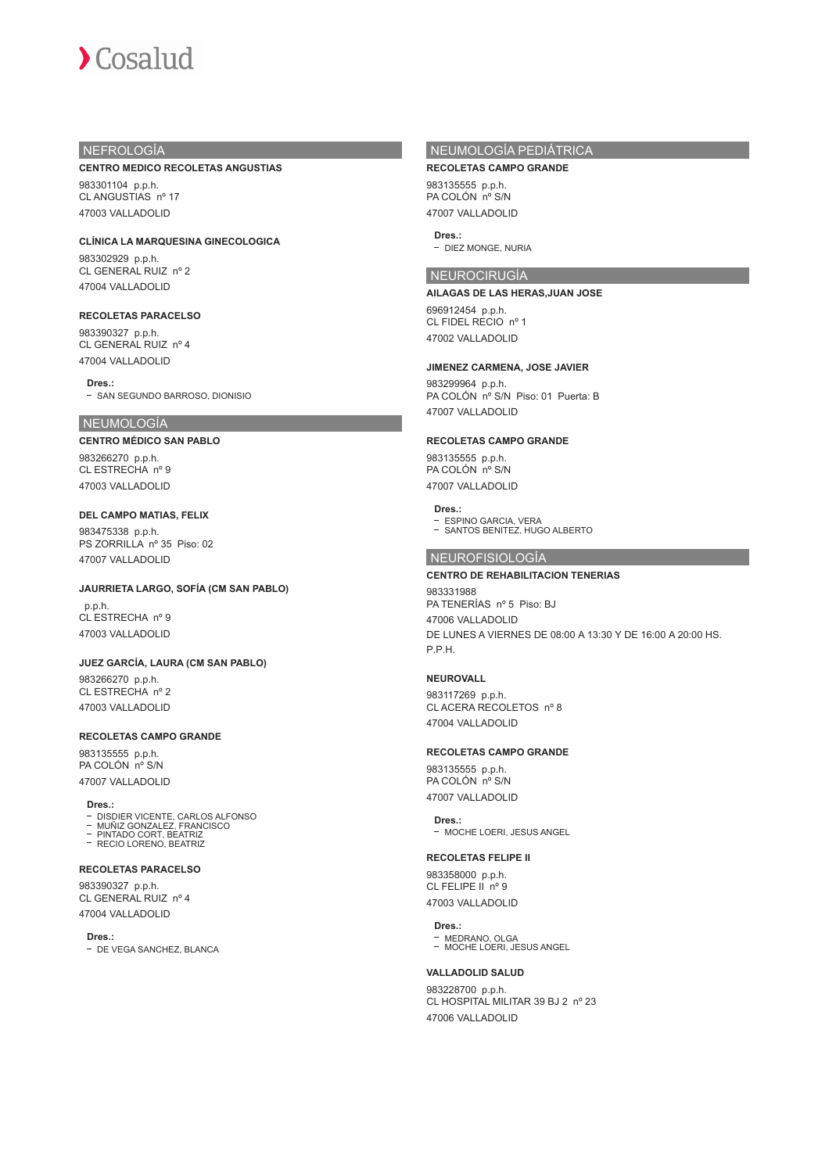# NEFROLOGÍA

#### **CENTRO MEDICO RECOLETAS ANGUSTIAS**

983301104 p.p.h. CL ANGUSTIAS nº 17 47003 VALLADOLID

**CLÍNICA LA MARQUESINA GINECOLOGICA** 983302929 p.p.h. CL GENERAL RUIZ nº 2

# **RECOLETAS PARACELSO**

47004 VALLADOLID

983390327 p.p.h. CL GENERAL RUIZ nº 4 47004 VALLADOLID

**Dres.:** - SAN SEGUNDO BARROSO, DIONISIO

### NEUMOLOGÍA

# **CENTRO MÉDICO SAN PABLO**

983266270 p.p.h. CL ESTRECHA nº 9 47003 VALLADOLID

# **DEL CAMPO MATIAS, FELIX**

983475338 p.p.h. PS ZORRILLA nº 35 Piso: 02 47007 VALLADOLID

# **JAURRIETA LARGO, SOFÍA (CM SAN PABLO)**

 p.p.h. CL ESTRECHA nº 9 47003 VALLADOLID

# **JUEZ GARCÍA, LAURA (CM SAN PABLO)**

983266270 p.p.h. CL ESTRECHA nº 2 47003 VALLADOLID

#### **RECOLETAS CAMPO GRANDE**

983135555 p.p.h. PA COLÓN nº S/N 47007 VALLADOLID

**Dres.:**

- DISDIER VICENTE, CARLOS ALFONSO MUÑIZ GONZALEZ, FRANCISCO PINTADO CORT, BEATRIZ
- PINTADO CORT, BEATING<br>- RECIO LORENO, BEATRIZ

# **RECOLETAS PARACELSO**

983390327 p.p.h. CL GENERAL RUIZ nº 4 47004 VALLADOLID

**Dres.:**

- DE VEGA SANCHEZ, BLANCA

# NEUMOLOGÍA PEDIÁTRICA

**RECOLETAS CAMPO GRANDE** 983135555 p.p.h. PA COLÓN nº S/N 47007 VALLADOLID

# **Dres.:**

- DIEZ MONGE, NURIA

# NEUROCIRUGÍA

# **AILAGAS DE LAS HERAS,JUAN JOSE** 696912454 p.p.h.

CL FIDEL RECIO nº 1 47002 VALLADOLID

# **JIMENEZ CARMENA, JOSE JAVIER**

983299964 p.p.h. PA COLÓN nº S/N Piso: 01 Puerta: B 47007 VALLADOLID

# **RECOLETAS CAMPO GRANDE**

983135555 p.p.h. PA COLÓN nº S/N 47007 VALLADOLID

# **Dres.:**

ESPINO GARCIA, VERA SANTOS BENITEZ, HUGO ALBERTO

# NEUROFISIOLOGÍA

# **CENTRO DE REHABILITACION TENERIAS**

983331988 PA TENERÍAS nº 5 Piso: BJ 47006 VALLADOLID DE LUNES A VIERNES DE 08:00 A 13:30 Y DE 16:00 A 20:00 HS. P.P.H.

# **NEUROVALL**

983117269 p.p.h. CL ACERA RECOLETOS nº 8 47004 VALLADOLID

#### **RECOLETAS CAMPO GRANDE**

983135555 p.p.h. PA COLÓN nº S/N 47007 VALLADOLID

#### **Dres.:**

- MOCHE LOERI, JESUS ANGEL

### **RECOLETAS FELIPE II**

983358000 p.p.h. CL FELIPE II nº 9 47003 VALLADOLID

# **Dres.:**

MEDRANO, OLGA MOCHE LOERI, JESUS ANGEL

#### **VALLADOLID SALUD**

983228700 p.p.h. CL HOSPITAL MILITAR 39 BJ 2 nº 23 47006 VALLADOLID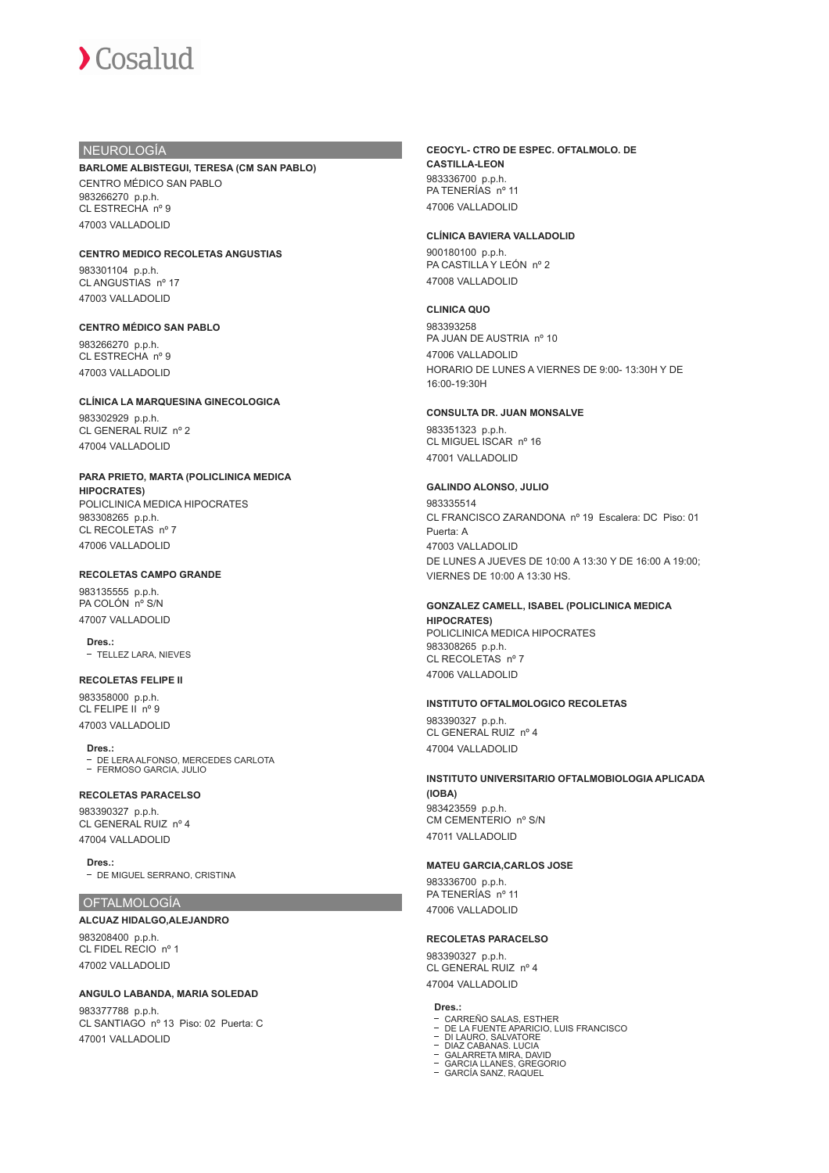# NEUROLOGÍA

# **BARLOME ALBISTEGUI, TERESA (CM SAN PABLO)**

CENTRO MÉDICO SAN PABLO 983266270 p.p.h. CL ESTRECHA nº 9 47003 VALLADOLID

#### **CENTRO MEDICO RECOLETAS ANGUSTIAS**

983301104 p.p.h. CL ANGUSTIAS nº 17 47003 VALLADOLID

# **CENTRO MÉDICO SAN PABLO**

983266270 p.p.h. CL ESTRECHA nº 9 47003 VALLADOLID

#### **CLÍNICA LA MARQUESINA GINECOLOGICA**

983302929 p.p.h. CL GENERAL RUIZ nº 2 47004 VALLADOLID

#### **PARA PRIETO, MARTA (POLICLINICA MEDICA HIPOCRATES)**

POLICLINICA MEDICA HIPOCRATES 983308265 p.p.h. CL RECOLETAS nº 7 47006 VALLADOLID

### **RECOLETAS CAMPO GRANDE**

983135555 p.p.h. PA COLÓN nº S/N 47007 VALLADOLID

**Dres.:** - TELLEZ LARA, NIEVES

# **RECOLETAS FELIPE II**

983358000 p.p.h. CL FELIPE II nº 9 47003 VALLADOLID

**Dres.:** DE LERA ALFONSO, MERCEDES CARLOTA FERMOSO GARCIA, JULIO

# **RECOLETAS PARACELSO**

983390327 p.p.h. CL GENERAL RUIZ nº 4 47004 VALLADOLID

**Dres.:** - DE MIGUEL SERRANO, CRISTINA

#### **OFTALMOLOGÍA**

# **ALCUAZ HIDALGO,ALEJANDRO** 983208400 p.p.h.

CL FIDEL RECIO nº 1 47002 VALLADOLID

#### **ANGULO LABANDA, MARIA SOLEDAD**

983377788 p.p.h. CL SANTIAGO nº 13 Piso: 02 Puerta: C 47001 VALLADOLID

#### **CEOCYL- CTRO DE ESPEC. OFTALMOLO. DE CASTILLA-LEON** 983336700 p.p.h. PA TENERÍAS nº 11 47006 VALLADOLID

#### **CLÍNICA BAVIERA VALLADOLID**

900180100 p.p.h. PA CASTILLA Y LEÓN nº 2 47008 VALLADOLID

#### **CLINICA QUO**

983393258 PA JUAN DE AUSTRIA nº 10 47006 VALLADOLID HORARIO DE LUNES A VIERNES DE 9:00- 13:30H Y DE 16:00-19:30H

#### **CONSULTA DR. JUAN MONSALVE**

983351323 p.p.h. CL MIGUEL ISCAR nº 16 47001 VALLADOLID

#### **GALINDO ALONSO, JULIO**

983335514 CL FRANCISCO ZARANDONA nº 19 Escalera: DC Piso: 01 Puerta: A 47003 VALLADOLID DE LUNES A JUEVES DE 10:00 A 13:30 Y DE 16:00 A 19:00; VIERNES DE 10:00 A 13:30 HS.

# **GONZALEZ CAMELL, ISABEL (POLICLINICA MEDICA**

**HIPOCRATES)** POLICLINICA MEDICA HIPOCRATES 983308265 p.p.h. CL RECOLETAS nº 7 47006 VALLADOLID

#### **INSTITUTO OFTALMOLOGICO RECOLETAS**

983390327 p.p.h. CL GENERAL RUIZ nº 4 47004 VALLADOLID

# **INSTITUTO UNIVERSITARIO OFTALMOBIOLOGIA APLICADA (IOBA)**

983423559 p.p.h. CM CEMENTERIO nº S/N 47011 VALLADOLID

# **MATEU GARCIA,CARLOS JOSE**

983336700 p.p.h. PA TENERÍAS nº 11 47006 VALLADOLID

#### **RECOLETAS PARACELSO**

983390327 p.p.h. CL GENERAL RUIZ nº 4 47004 VALLADOLID

#### **Dres.:**

- 
- CARREÑO SALAS, ESTHER DE LA FUENTE APARICIO, LUIS FRANCISCO DI LAURO, SALVATORE
- 
- 
- DIAZ CABANAS. LUCIA GALARRETA MIRA, DAVID GARCIA LLANES, GREGORIO GARCÍA SANZ, RAQUEL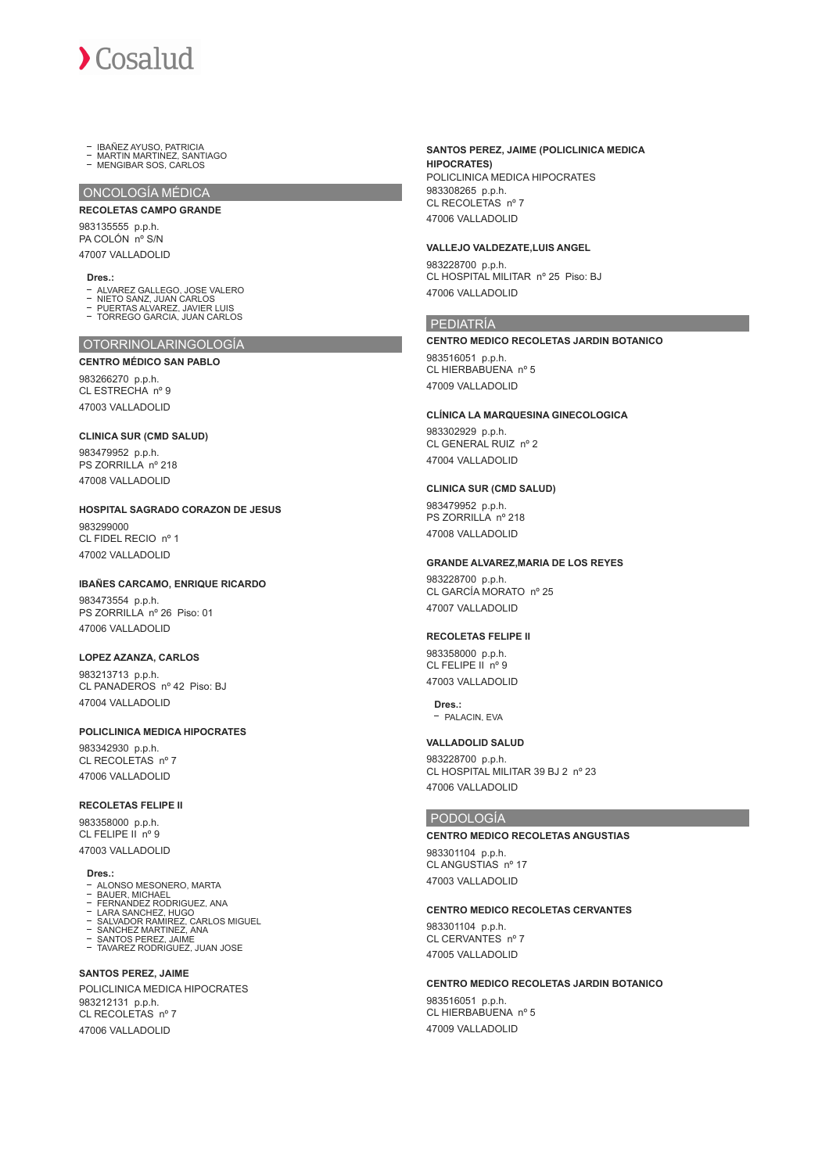IBAÑEZ AYUSO, PATRICIA MARTIN MARTINEZ, SANTIAGO MENGIBAR SOS, CARLOS

ONCOLOGÍA MÉDICA

# **RECOLETAS CAMPO GRANDE**

983135555 p.p.h. PA COLÓN nº S/N 47007 VALLADOLID

#### **Dres.:**

- ALVAREZ GALLEGO, JOSE VALERO
- NIETO SANZ, JUAN CARLOS PUERTAS ALVAREZ, JAVIER LUIS TORREGO GARCIA, JUAN CARLOS
- $\overline{a}$

# OTORRINOLARINGOLOGÍA

**CENTRO MÉDICO SAN PABLO**

983266270 p.p.h. CL ESTRECHA nº 9 47003 VALLADOLID

# **CLINICA SUR (CMD SALUD)**

983479952 p.p.h. PS ZORRILLA nº 218 47008 VALLADOLID

**HOSPITAL SAGRADO CORAZON DE JESUS** 983299000 CL FIDEL RECIO nº 1

47002 VALLADOLID

#### **IBAÑES CARCAMO, ENRIQUE RICARDO**

983473554 p.p.h. PS ZORRILLA nº 26 Piso: 01 47006 VALLADOLID

#### **LOPEZ AZANZA, CARLOS**

983213713 p.p.h. CL PANADEROS nº 42 Piso: BJ 47004 VALLADOLID

# **POLICLINICA MEDICA HIPOCRATES**

983342930 p.p.h. CL RECOLETAS nº 7 47006 VALLADOLID

#### **RECOLETAS FELIPE II**

983358000 p.p.h. CL FELIPE IL nº 9 47003 VALLADOLID

**Dres.:**

- ALONSO MESONERO, MARTA
- BAUER, MICHAEL FERNANDEZ RODRIGUEZ, ANA
- 
- LARA SANCHEZ, HUGO<br>SALVADOR RAMIREZ, CARLOS MIGUEL<br>SANCHEZ MARTINEZ, ANA<br>SANTOS PEREZ, JAIME<br>TAVAREZ RODRIGUEZ, JUAN JOSE
- 
- 

# **SANTOS PEREZ, JAIME**

POLICLINICA MEDICA HIPOCRATES 983212131 p.p.h. CL RECOLETAS nº 7 47006 VALLADOLID

# **SANTOS PEREZ, JAIME (POLICLINICA MEDICA HIPOCRATES )** POLICLINICA MEDICA HIPOCRATES 983308265 p.p.h.

CL RECOLETAS nº 7 47006 VALLADOLID

# **VALLEJO VALDEZATE,LUIS ANGEL**

983228700 p.p.h. CL HOSPITAL MILITAR nº 25 Piso: BJ 47006 VALLADOLID

# PEDIATRÍA

**CENTRO MEDICO RECOLETAS JARDIN BOTANICO** 983516051 p.p.h. CL HIERBABUENA nº 5 47009 VALLADOLID

#### **CLÍNICA LA MARQUESINA GINECOLOGICA**

983302929 p.p.h. CL GENERAL RUIZ nº 2 47004 VALLADOLID

# **CLINICA SUR (CMD SALUD)**

983479952 p.p.h. PS ZORRILLA nº 218 47008 VALLADOLID

#### **GRANDE ALVAREZ,MARIA DE LOS REYES**

983228700 p.p.h. CL GARCÍA MORATO nº 25 47007 VALLADOLID

#### **RECOLETAS FELIPE II**

983358000 p.p.h. CL FELIPE II nº 9 47003 VALLADOLID

# **Dres.:**

 $-$  PALACIN, FVA

#### **VALLADOLID SALUD**

983228700 p.p.h. CL HOSPITAL MILITAR 39 BJ 2 nº 23 47006 VALLADOLID

# PODOLOGÍA

# **CENTRO MEDICO RECOLETAS ANGUSTIAS**

983301104 p.p.h. CL ANGUSTIAS nº 17 47003 VALLADOLID

# **CENTRO MEDICO RECOLETAS CERVANTES**

983301104 p.p.h. CL CERVANTES nº 7 47005 VALLADOLID

# **CENTRO MEDICO RECOLETAS JARDIN BOTANICO**

983516051 p.p.h. CL HIERBABUENA nº 5 47009 VALLADOLID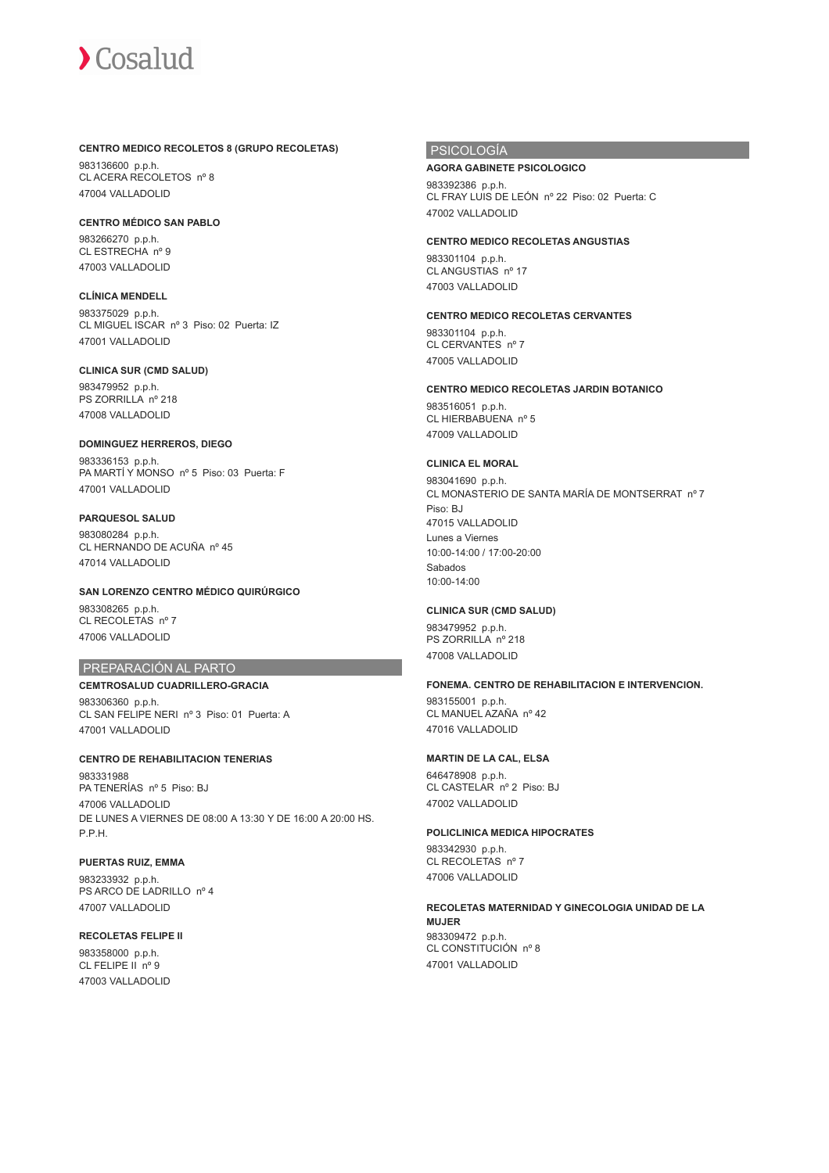#### **CENTRO MEDICO RECOLETOS 8 (GRUPO RECOLETAS)**

983136600 p.p.h. CL ACERA RECOLETOS nº 8 47004 VALLADOLID

**CENTRO MÉDICO SAN PABLO**

983266270 p.p.h. CL ESTRECHA nº 9 47003 VALLADOLID

**CLÍNICA MENDELL** 983375029 p.p.h. CL MIGUEL ISCAR nº 3 Piso: 02 Puerta: IZ 47001 VALLADOLID

# **CLINICA SUR (CMD SALUD)**

983479952 p.p.h. PS ZORRILLA nº 218 47008 VALLADOLID

# **DOMINGUEZ HERREROS, DIEGO** 983336153 p.p.h.

PA MARTÍ Y MONSO nº 5 Piso: 03 Puerta: F 47001 VALLADOLID

# **PARQUESOL SALUD**

983080284 p.p.h. CL HERNANDO DE ACUÑA nº 45 47014 VALLADOLID

# **SAN LORENZO CENTRO MÉDICO QUIRÚRGICO**

983308265 p.p.h. CL RECOLETAS nº 7 47006 VALLADOLID

# PREPARACIÓN AL PARTO

# **CEMTROSALUD CUADRILLERO-GRACIA**

983306360 p.p.h. CL SAN FELIPE NERI nº 3 Piso: 01 Puerta: A 47001 VALLADOLID

# **CENTRO DE REHABILITACION TENERIAS**

983331988 PA TENERÍAS nº 5 Piso: BJ 47006 VALLADOLID DE LUNES A VIERNES DE 08:00 A 13:30 Y DE 16:00 A 20:00 HS. P.P.H.

# **PUERTAS RUIZ, EMMA**

983233932 p.p.h. PS ARCO DE LADRILLO nº 4 47007 VALLADOLID

# **RECOLETAS FELIPE II**

983358000 p.p.h. CL FELIPE II nº 9 47003 VALLADOLID

# PSICOLOGÍA

# **AGORA GABINETE PSICOLOGICO**

983392386 p.p.h. CL FRAY LUIS DE LEÓN nº 22 Piso: 02 Puerta: C 47002 VALLADOLID

**CENTRO MEDICO RECOLETAS ANGUSTIAS**

983301104 p.p.h. CL ANGUSTIAS nº 17 47003 VALLADOLID

# **CENTRO MEDICO RECOLETAS CERVANTES**

983301104 p.p.h. CL CERVANTES nº 7 47005 VALLADOLID

# **CENTRO MEDICO RECOLETAS JARDIN BOTANICO**

983516051 p.p.h. CL HIERBABUENA nº 5 47009 VALLADOLID

# **CLINICA EL MORAL**

983041690 p.p.h. CL MONASTERIO DE SANTA MARÍA DE MONTSERRAT nº 7 Piso: BJ 47015 VALLADOLID Lunes a Viernes 10:00-14:00 / 17:00-20:00 Sabados 10:00-14:00

# **CLINICA SUR (CMD SALUD)**

983479952 p.p.h. PS ZORRILLA nº 218 47008 VALLADOLID

# **FONEMA. CENTRO DE REHABILITACION E INTERVENCION.**

983155001 p.p.h. CL MANUEL AZAÑA nº 42 47016 VALLADOLID

# **MARTIN DE LA CAL, ELSA**

646478908 p.p.h. CL CASTELAR nº 2 Piso: BJ 47002 VALLADOLID

# **POLICLINICA MEDICA HIPOCRATES**

983342930 p.p.h. CL RECOLETAS nº 7 47006 VALLADOLID

# **RECOLETAS MATERNIDAD Y GINECOLOGIA UNIDAD DE LA MUJER** 983309472 p.p.h. CL CONSTITUCIÓN nº 8

47001 VALLADOLID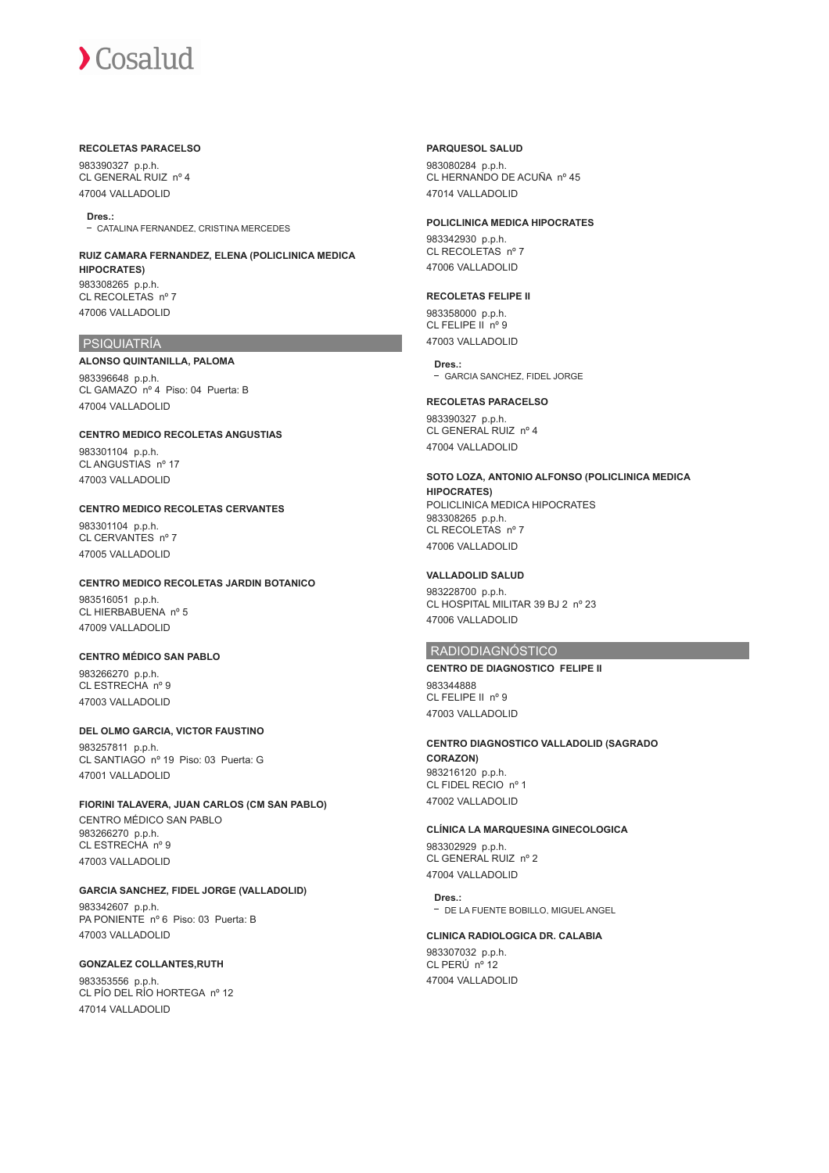#### **RECOLETAS PARACELSO**

983390327 p.p.h. CL GENERAL RUIZ nº 4 47004 VALLADOLID

**Dres.:** - CATALINA FERNANDEZ, CRISTINA MERCEDES

#### **RUIZ CAMARA FERNANDEZ, ELENA (POLICLINICA MEDICA HIPOCRATES)** 983308265 p.p.h. CL RECOLETAS nº 7

47006 VALLADOLID

# PSIQUIATRÍA

#### **ALONSO QUINTANILLA, PALOMA**

983396648 p.p.h. CL GAMAZO nº 4 Piso: 04 Puerta: B 47004 VALLADOLID

# **CENTRO MEDICO RECOLETAS ANGUSTIAS**

983301104 p.p.h. CL ANGUSTIAS nº 17 47003 VALLADOLID

# **CENTRO MEDICO RECOLETAS CERVANTES**

983301104 p.p.h. CL CERVANTES nº 7 47005 VALLADOLID

# **CENTRO MEDICO RECOLETAS JARDIN BOTANICO**

983516051 p.p.h. CL HIERBABUENA nº 5 47009 VALLADOLID

### **CENTRO MÉDICO SAN PABLO**

983266270 p.p.h. CL ESTRECHA nº 9 47003 VALLADOLID

# **DEL OLMO GARCIA, VICTOR FAUSTINO**

983257811 p.p.h. CL SANTIAGO nº 19 Piso: 03 Puerta: G 47001 VALLADOLID

### **FIORINI TALAVERA, JUAN CARLOS (CM SAN PABLO)**

CENTRO MÉDICO SAN PABLO 983266270 p.p.h. CL ESTRECHA nº 9 47003 VALLADOLID

# **GARCIA SANCHEZ, FIDEL JORGE (VALLADOLID)**

983342607 p.p.h. PA PONIENTE nº 6 Piso: 03 Puerta: B 47003 VALLADOLID

# **GONZALEZ COLLANTES,RUTH**

983353556 p.p.h. CL PÍO DEL RÍO HORTEGA nº 12 47014 VALLADOLID

# **PARQUESOL SALUD**

983080284 p.p.h. CL HERNANDO DE ACUÑA nº 45 47014 VALLADOLID

#### **POLICLINICA MEDICA HIPOCRATES**

983342930 p.p.h. CL RECOLETAS nº 7 47006 VALLADOLID

# **RECOLETAS FELIPE II**

983358000 p.p.h. CL FELIPE II nº 9 47003 VALLADOLID

#### **Dres.:**

GARCIA SANCHEZ, FIDEL JORGE

#### **RECOLETAS PARACELSO**

983390327 p.p.h. CL GENERAL RUIZ nº 4 47004 VALLADOLID

# **SOTO LOZA, ANTONIO ALFONSO (POLICLINICA MEDICA**

**HIPOCRATES)** POLICLINICA MEDICA HIPOCRATES 983308265 p.p.h. CL RECOLETAS nº 7 47006 VALLADOLID

# **VALLADOLID SALUD**

983228700 p.p.h. CL HOSPITAL MILITAR 39 BJ 2 nº 23 47006 VALLADOLID

# RADIODIAGNÓSTICO

**CENTRO DE DIAGNOSTICO FELIPE II** 983344888 CL FELIPE II nº 9

47003 VALLADOLID

# **CENTRO DIAGNOSTICO VALLADOLID (SAGRADO CORAZON)**

983216120 p.p.h. CL FIDEL RECIO nº 1 47002 VALLADOLID

## **CLÍNICA LA MARQUESINA GINECOLOGICA**

983302929 p.p.h. CL GENERAL RUIZ nº 2 47004 VALLADOLID

#### **Dres.:**

DE LA FUENTE BOBILLO, MIGUEL ANGEL

# **CLINICA RADIOLOGICA DR. CALABIA**

983307032 p.p.h. CL PERÚ nº 12 47004 VALLADOLID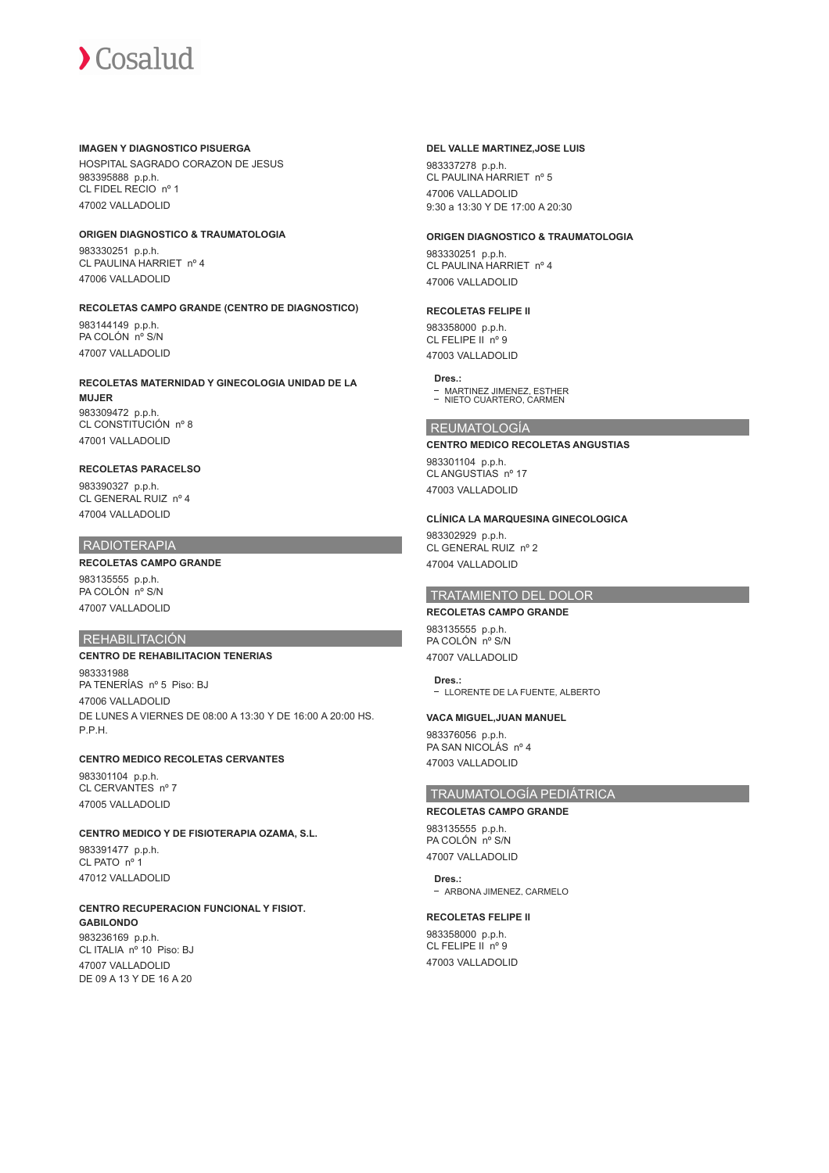#### **IMAGEN Y DIAGNOSTICO PISUERGA**

HOSPITAL SAGRADO CORAZON DE JESUS 983395888 p.p.h. CL FIDEL RECIO nº 1 47002 VALLADOLID

# **ORIGEN DIAGNOSTICO & TRAUMATOLOGIA**

983330251 p.p.h. CL PAULINA HARRIET nº 4 47006 VALLADOLID

# **RECOLETAS CAMPO GRANDE (CENTRO DE DIAGNOSTICO)**

983144149 p.p.h. PA COLÓN nº S/N 47007 VALLADOLID

#### **RECOLETAS MATERNIDAD Y GINECOLOGIA UNIDAD DE LA MUJER**

983309472 p.p.h. CL CONSTITUCIÓN nº 8 47001 VALLADOLID

# **RECOLETAS PARACELSO**

983390327 p.p.h. CL GENERAL RUIZ nº 4 47004 VALLADOLID

# RADIOTERAPIA

# **RECOLETAS CAMPO GRANDE**

983135555 p.p.h. PA COLÓN nº S/N 47007 VALLADOLID

# REHABILITACIÓN

# **CENTRO DE REHABILITACION TENERIAS** 983331988 PA TENERÍAS nº 5 Piso: BJ 47006 VALLADOLID DE LUNES A VIERNES DE 08:00 A 13:30 Y DE 16:00 A 20:00 HS. P.P.H.

# **CENTRO MEDICO RECOLETAS CERVANTES**

983301104 p.p.h. CL CERVANTES nº 7 47005 VALLADOLID

# **CENTRO MEDICO Y DE FISIOTERAPIA OZAMA, S.L.**

983391477 p.p.h. CL PATO nº 1 47012 VALLADOLID

# **CENTRO RECUPERACION FUNCIONAL Y FISIOT.**

**GABILONDO** 983236169 p.p.h. CL ITALIA nº 10 Piso: BJ 47007 VALLADOLID DE 09 A 13 Y DE 16 A 20

#### **DEL VALLE MARTINEZ,JOSE LUIS**

983337278 p.p.h. CL PAULINA HARRIET nº 5 47006 VALLADOLID 9:30 a 13:30 Y DE 17:00 A 20:30

### **ORIGEN DIAGNOSTICO & TRAUMATOLOGIA**

983330251 p.p.h. CL PAULINA HARRIET nº 4 47006 VALLADOLID

# **RECOLETAS FELIPE II**

983358000 p.p.h. CL FELIPE II nº 9 47003 VALLADOLID

#### **Dres.:**

MARTINEZ JIMENEZ, ESTHER NIETO CUARTERO, CARMEN

# REUMATOLOGÍA

#### **CENTRO MEDICO RECOLETAS ANGUSTIAS**

983301104 p.p.h. CL ANGUSTIAS nº 17 47003 VALLADOLID

# **CLÍNICA LA MARQUESINA GINECOLOGICA**

983302929 p.p.h. CL GENERAL RUIZ nº 2 47004 VALLADOLID

# TRATAMIENTO DEL DOLOR

**RECOLETAS CAMPO GRANDE** 983135555 p.p.h. PA COLÓN nº S/N 47007 VALLADOLID

**Dres.:** - LLORENTE DE LA FUENTE. ALBERTO

# **VACA MIGUEL,JUAN MANUEL**

983376056 p.p.h. PA SAN NICOLÁS nº 4 47003 VALLADOLID

# TRAUMATOLOGÍA PEDIÁTRICA

#### **RECOLETAS CAMPO GRANDE**

983135555 p.p.h. PA COLÓN nº S/N 47007 VALLADOLID

**Dres.:** - ARBONA JIMENEZ, CARMELO

#### **RECOLETAS FELIPE II**

983358000 p.p.h. CL FELIPE II nº 9 47003 VALLADOLID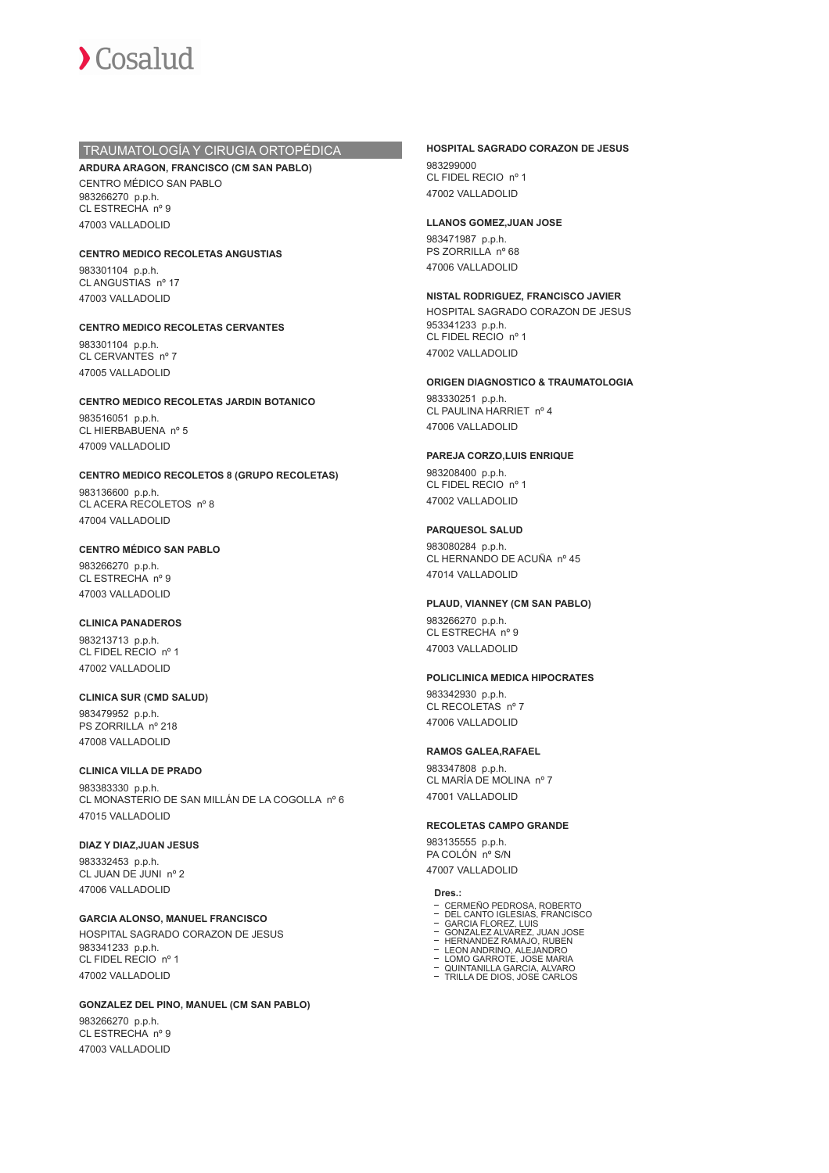

# TRAUMATOLOGÍA Y CIRUGIA ORTOPÉDICA

# **ARDURA ARAGON, FRANCISCO (CM SAN PABLO)**

CENTRO MÉDICO SAN PABLO 983266270 p.p.h. CL ESTRECHA nº 9 47003 VALLADOLID

#### **CENTRO MEDICO RECOLETAS ANGUSTIAS**

983301104 p.p.h. CL ANGUSTIAS nº 17 47003 VALLADOLID

#### **CENTRO MEDICO RECOLETAS CERVANTES**

983301104 p.p.h. CL CERVANTES nº 7 47005 VALLADOLID

# **CENTRO MEDICO RECOLETAS JARDIN BOTANICO**

983516051 p.p.h. CL HIERBABUENA nº 5 47009 VALLADOLID

#### **CENTRO MEDICO RECOLETOS 8 (GRUPO RECOLETAS)**

983136600 p.p.h. CL ACERA RECOLETOS nº 8 47004 VALLADOLID

# **CENTRO MÉDICO SAN PABLO**

983266270 p.p.h. CL ESTRECHA nº 9 47003 VALLADOLID

#### **CLINICA PANADEROS**

983213713 p.p.h. CL FIDEL RECIO nº 1 47002 VALLADOLID

### **CLINICA SUR (CMD SALUD)** 983479952 p.p.h. PS ZORRILLA nº 218 47008 VALLADOLID

# **CLINICA VILLA DE PRADO**

983383330 p.p.h. CL MONASTERIO DE SAN MILLÁN DE LA COGOLLA nº 6 47015 VALLADOLID

# **DIAZ Y DIAZ,JUAN JESUS**

983332453 p.p.h. CL JUAN DE JUNI nº 2 47006 VALLADOLID

# **GARCIA ALONSO, MANUEL FRANCISCO**

HOSPITAL SAGRADO CORAZON DE JESUS 983341233 p.p.h. CL FIDEL RECIO nº 1 47002 VALLADOLID

#### **GONZALEZ DEL PINO, MANUEL (CM SAN PABLO)**

983266270 p.p.h. CL ESTRECHA nº 9 47003 VALLADOLID

# **HOSPITAL SAGRADO CORAZON DE JESUS**

983299000 CL FIDEL RECIO nº 1 47002 VALLADOLID

#### **LLANOS GOMEZ,JUAN JOSE**

983471987 p.p.h. PS ZORRILLA nº 68 47006 VALLADOLID

# **NISTAL RODRIGUEZ, FRANCISCO JAVIER**

HOSPITAL SAGRADO CORAZON DE JESUS 953341233 p.p.h. CL FIDEL RECIO nº 1 47002 VALLADOLID

#### **ORIGEN DIAGNOSTICO & TRAUMATOLOGIA**

983330251 p.p.h. CL PAULINA HARRIET nº 4 47006 VALLADOLID

#### **PAREJA CORZO,LUIS ENRIQUE**

983208400 p.p.h. CL FIDEL RECIO nº 1 47002 VALLADOLID

#### **PARQUESOL SALUD**

983080284 p.p.h. CL HERNANDO DE ACUÑA nº 45 47014 VALLADOLID

#### **PLAUD, VIANNEY (CM SAN PABLO)**

983266270 p.p.h. CL ESTRECHA nº 9 47003 VALLADOLID

#### **POLICLINICA MEDICA HIPOCRATES**

983342930 p.p.h. CL RECOLETAS nº 7 47006 VALLADOLID

#### **RAMOS GALEA,RAFAEL**

983347808 p.p.h. CL MARÍA DE MOLINA nº 7 47001 VALLADOLID

#### **RECOLETAS CAMPO GRANDE**

983135555 p.p.h. PA COLÓN nº S/N 47007 VALLADOLID

- **Dres.:**<br>- CERMEÑO PEDROSA, ROBERTO
- CERMEÑO PEDROSA, ROBERTO DEL CANTO IGLESIAS, FRANCISCO GARCIA FLOREZ, LUIS GONZALEZ ALVAREZ, JUAN JOSE HERNANDEZ RAMAJO, RUBEN LEON ANDRINO, ALEJANDRO LOMO GARROTE, JOSE MARIA
- 
- 
- 
- QUINTANILLA GARCIA, ALVARO TRILLA DE DIOS, JOSE CARLOS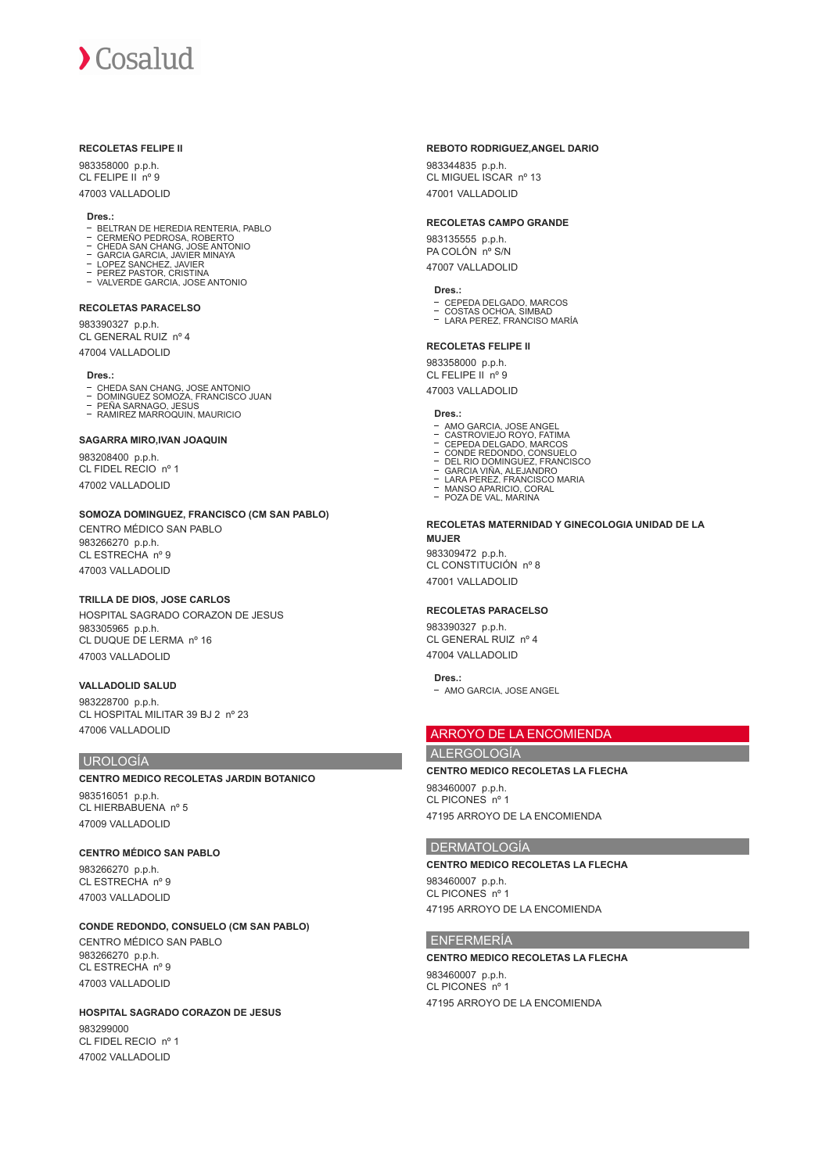#### **RECOLETAS FELIPE II**

983358000 p.p.h. CL FELIPE II nº 9 47003 VALLADOLID

#### **Dres.:**

- BELTRAN DE HEREDIA RENTERIA, PABLO
- CERMEÑO PEDROSA, ROBERTO CHEDA SAN CHANG, JOSE ANTONIO
- 
- 
- GARCIA GARCIA, JAVIER MINAYA LOPEZ SANCHEZ, JAVIER PEREZ PASTOR, CRISTINA VALVERDE GARCIA, JOSE ANTONIO  $\mathbb{Z}$
- 

#### **RECOLETAS PARACELSO**

983390327 p.p.h. CL GENERAL RUIZ nº 4 47004 VALLADOLID

#### **Dres.:**

- 
- CHEDA SAN CHANG, JOSE ANTONIO<br>DOMINGUEZ SOMOZA, FRANCISCO JUAN<br>PEÑA SARNAGO, JESUS<br>RAMIREZ MARROQUIN, MAURICIO
- 

#### **SAGARRA MIRO,IVAN JOAQUIN**

983208400 p.p.h. CL FIDEL RECIO nº 1 47002 VALLADOLID

#### **SOMOZA DOMINGUEZ, FRANCISCO (CM SAN PABLO)**

CENTRO MÉDICO SAN PABLO 983266270 p.p.h. CL ESTRECHA nº 9 47003 VALLADOLID

# **TRILLA DE DIOS, JOSE CARLOS**

HOSPITAL SAGRADO CORAZON DE JESUS 983305965 p.p.h. CL DUQUE DE LERMA nº 16 47003 VALLADOLID

# **VALLADOLID SALUD**

983228700 p.p.h. CL HOSPITAL MILITAR 39 BJ 2 nº 23 47006 VALLADOLID

#### UROLOGÍA

# **CENTRO MEDICO RECOLETAS JARDIN BOTANICO**

983516051 p.p.h. CL HIERBABUENA nº 5 47009 VALLADOLID

# **CENTRO MÉDICO SAN PABLO**

983266270 p.p.h. CL ESTRECHA nº 9 47003 VALLADOLID

# **CONDE REDONDO, CONSUELO (CM SAN PABLO)**

CENTRO MÉDICO SAN PABLO 983266270 p.p.h. CL ESTRECHA nº 9 47003 VALLADOLID

#### **HOSPITAL SAGRADO CORAZON DE JESUS** 983299000 CL FIDEL RECIO nº 1 47002 VALLADOLID

#### **REBOTO RODRIGUEZ,ANGEL DARIO**

983344835 p.p.h. CL MIGUEL ISCAR nº 13 47001 VALLADOLID

#### **RECOLETAS CAMPO GRANDE**

983135555 p.p.h. PA COLÓN nº S/N 47007 VALLADOLID

#### **Dres.:**

- CEPEDA DELGADO, MARCOS COSTAS OCHOA, SIMBAD
- LARA PEREZ, FRANCISO MARÍA

#### **RECOLETAS FELIPE II**

983358000 p.p.h. CL FELIPE II nº 9 47003 VALLADOLID

#### **Dres.:**

- 
- 
- 
- AMO GARCIA, JOSE ANGEL<br>CASTROVIEJO ROYO, FATIMA<br>CEPEDA DELGADO, MARCOS<br>CONDE REDONDO, CONSUELO<br>DEL RIO DOMINGUEZ, FRANCISCO<br>GARCIA VIÑA, ALEJANDRO<br>MARSO APARICIO, CORAL<br>MARSO APARICIO, CORAL<br>POZA DE VAL, MARINA
- 
- 
- 

#### **RECOLETAS MATERNIDAD Y GINECOLOGIA UNIDAD DE LA MUJER**

983309472 p.p.h. CL CONSTITUCIÓN nº 8 47001 VALLADOLID

#### **RECOLETAS PARACELSO**

983390327 p.p.h. CL GENERAL RUIZ nº 4 47004 VALLADOLID

#### **Dres.:**

- AMO GARCIA, JOSE ANGEL

# ARROYO DE LA ENCOMIENDA

# ALERGOLOGÍA

**CENTRO MEDICO RECOLETAS LA FLECHA**

983460007 p.p.h. CL PICONES nº 1 47195 ARROYO DE LA ENCOMIENDA

#### DERMATOLOGÍA

**CENTRO MEDICO RECOLETAS LA FLECHA** 983460007 p.p.h. CL PICONES nº 1 47195 ARROYO DE LA ENCOMIENDA

#### ENFERMERÍA

### **CENTRO MEDICO RECOLETAS LA FLECHA** 983460007 p.p.h. CL PICONES nº 1

47195 ARROYO DE LA ENCOMIENDA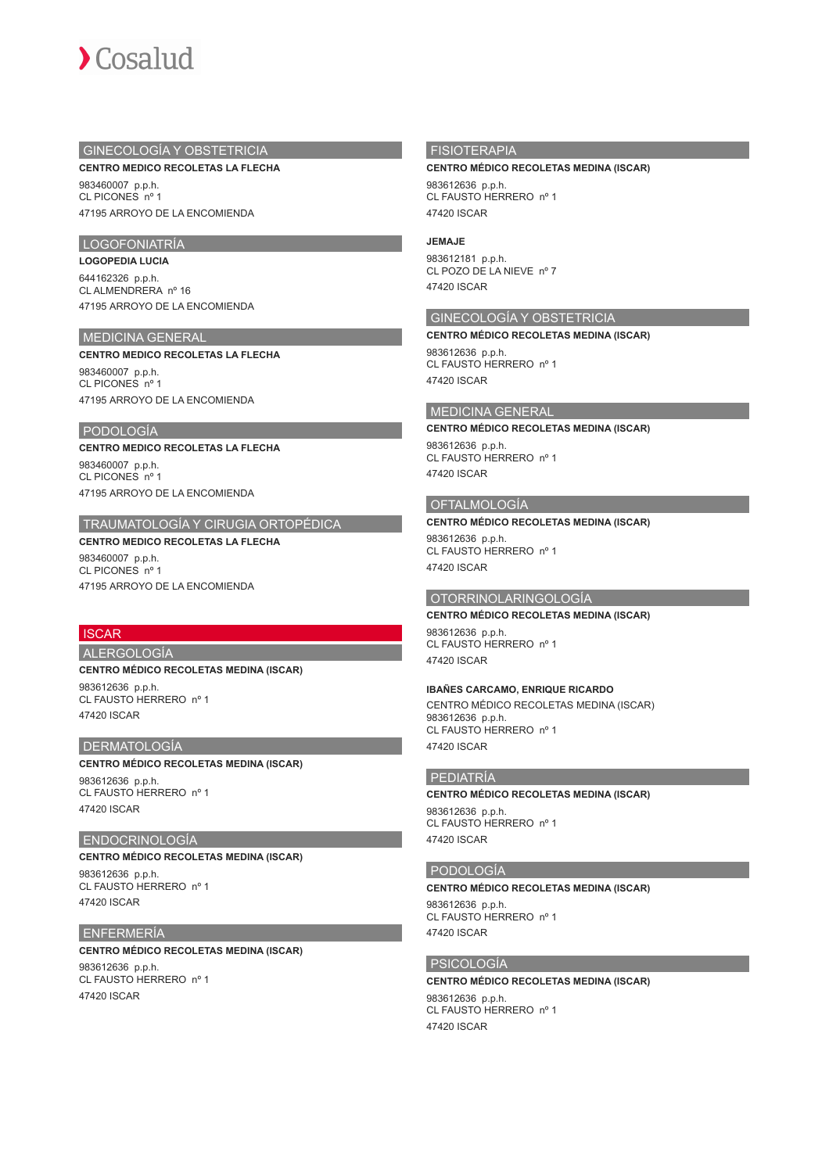

# GINECOLOGÍA Y OBSTETRICIA

**CENTRO MEDICO RECOLETAS LA FLECHA**

983460007 p.p.h. CL PICONES nº 1 47195 ARROYO DE LA ENCOMIENDA

# LOGOFONIATRÍA

**LOGOPEDIA LUCIA** 644162326 p.p.h. CL ALMENDRERA nº 16 47195 ARROYO DE LA ENCOMIENDA

# MEDICINA GENERAL

#### **CENTRO MEDICO RECOLETAS LA FLECHA**

983460007 p.p.h. CL PICONES nº 1 47195 ARROYO DE LA ENCOMIENDA

# PODOLOGÍA

**CENTRO MEDICO RECOLETAS LA FLECHA** 983460007 p.p.h. CL PICONES nº 1 47195 ARROYO DE LA ENCOMIENDA

# TRAUMATOLOGÍA Y CIRUGIA ORTOPÉDICA

**CENTRO MEDICO RECOLETAS LA FLECHA** 983460007 p.p.h.

CL PICONES nº 1 47195 ARROYO DE LA ENCOMIENDA

# **ISCAR**

ALERGOLOGÍA

**CENTRO MÉDICO RECOLETAS MEDINA (ISCAR)**

983612636 p.p.h. CL FAUSTO HERRERO nº 1 47420 ISCAR

#### DERMATOLOGÍA

# **CENTRO MÉDICO RECOLETAS MEDINA (ISCAR)**

983612636 p.p.h. CL FAUSTO HERRERO nº 1 47420 ISCAR

#### ENDOCRINOLOGÍA

**CENTRO MÉDICO RECOLETAS MEDINA (ISCAR)** 983612636 p.p.h. CL FAUSTO HERRERO nº 1 47420 ISCAR

#### ENFERMERÍA

**CENTRO MÉDICO RECOLETAS MEDINA (ISCAR)** 983612636 p.p.h. CL FAUSTO HERRERO nº 1 47420 ISCAR

# FISIOTERAPIA

#### **CENTRO MÉDICO RECOLETAS MEDINA (ISCAR)**

983612636 p.p.h. CL FAUSTO HERRERO nº 1 47420 ISCAR

#### **JEMAJE**

983612181 p.p.h. CL POZO DE LA NIEVE nº 7 47420 ISCAR

# GINECOLOGÍA Y OBSTETRICIA

**CENTRO MÉDICO RECOLETAS MEDINA (ISCAR)** 983612636 p.p.h. CL FAUSTO HERRERO nº 1

47420 ISCAR

#### MEDICINA GENERAL

**CENTRO MÉDICO RECOLETAS MEDINA (ISCAR)**

983612636 p.p.h. CL FAUSTO HERRERO nº 1 47420 ISCAR

#### OFTALMOLOGÍA

#### **CENTRO MÉDICO RECOLETAS MEDINA (ISCAR)**

983612636 p.p.h. CL FAUSTO HERRERO nº 1 47420 ISCAR

#### OTORRINOLARINGOLOGÍA

# **CENTRO MÉDICO RECOLETAS MEDINA (ISCAR)**

983612636 p.p.h. CL FAUSTO HERRERO nº 1 47420 ISCAR

#### **IBAÑES CARCAMO, ENRIQUE RICARDO**

CENTRO MÉDICO RECOLETAS MEDINA (ISCAR) 983612636 p.p.h. CL FAUSTO HERRERO nº 1 47420 ISCAR

#### PEDIATRÍA

**CENTRO MÉDICO RECOLETAS MEDINA (ISCAR)** 983612636 p.p.h. CL FAUSTO HERRERO nº 1 47420 ISCAR

#### PODOLOGÍA

#### **CENTRO MÉDICO RECOLETAS MEDINA (ISCAR)**

983612636 p.p.h. CL FAUSTO HERRERO nº 1 47420 ISCAR

#### PSICOLOGÍA

# **CENTRO MÉDICO RECOLETAS MEDINA (ISCAR)**

983612636 p.p.h. CL FAUSTO HERRERO nº 1 47420 ISCAR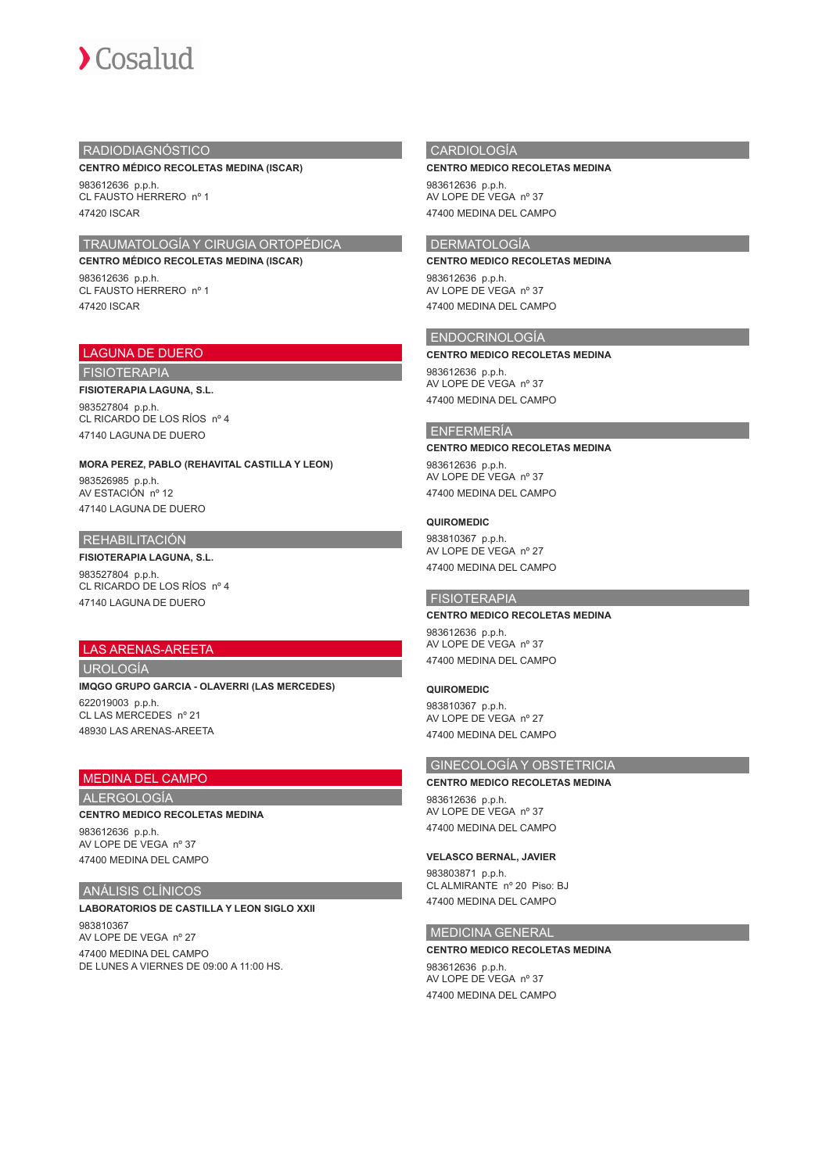

# RADIODIAGNÓSTICO

#### **CENTRO MÉDICO RECOLETAS MEDINA (ISCAR)**

983612636 p.p.h. CL FAUSTO HERRERO nº 1 47420 ISCAR

# TRAUMATOLOGÍA Y CIRUGIA ORTOPÉDICA

**CENTRO MÉDICO RECOLETAS MEDINA (ISCAR)** 983612636 p.p.h. CL FAUSTO HERRERO nº 1 47420 ISCAR

# LAGUNA DE DUERO

FISIOTERAPIA

#### **FISIOTERAPIA LAGUNA, S.L.** 983527804 p.p.h. CL RICARDO DE LOS RÍOS nº 4

47140 LAGUNA DE DUERO

# **MORA PEREZ, PABLO (REHAVITAL CASTILLA Y LEON)**

983526985 p.p.h. AV ESTACIÓN nº 12 47140 LAGUNA DE DUERO

# REHABILITACIÓN

**FISIOTERAPIA LAGUNA, S.L.** 983527804 p.p.h. CL RICARDO DE LOS RÍOS nº 4 47140 LAGUNA DE DUERO

# LAS ARENAS-AREETA

### UROLOGÍA

### **IMQGO GRUPO GARCIA - OLAVERRI (LAS MERCEDES)** 622019003 p.p.h. CL LAS MERCEDES nº 21 48930 LAS ARENAS-AREETA

# MEDINA DEL CAMPO

# ALERGOLOGÍA

**CENTRO MEDICO RECOLETAS MEDINA**

983612636 p.p.h. AV LOPE DE VEGA nº 37 47400 MEDINA DEL CAMPO

# ANÁLISIS CLÍNICOS

## **LABORATORIOS DE CASTILLA Y LEON SIGLO XXII** 983810367 AV LOPE DE VEGA nº 27 47400 MEDINA DEL CAMPO DE LUNES A VIERNES DE 09:00 A 11:00 HS.

# CARDIOLOGÍA

#### **CENTRO MEDICO RECOLETAS MEDINA**

983612636 p.p.h. AV LOPE DE VEGA nº 37 47400 MEDINA DEL CAMPO

# DERMATOLOGÍA

# **CENTRO MEDICO RECOLETAS MEDINA**

983612636 p.p.h. AV LOPE DE VEGA nº 37 47400 MEDINA DEL CAMPO

# ENDOCRINOLOGÍA

#### **CENTRO MEDICO RECOLETAS MEDINA**

983612636 p.p.h. AV LOPE DE VEGA nº 37 47400 MEDINA DEL CAMPO

# ENFERMERÍA

#### **CENTRO MEDICO RECOLETAS MEDINA**

983612636 p.p.h. AV LOPE DE VEGA nº 37 47400 MEDINA DEL CAMPO

#### **QUIROMEDIC**

983810367 p.p.h. AV LOPE DE VEGA nº 27 47400 MEDINA DEL CAMPO

## FISIOTERAPIA

#### **CENTRO MEDICO RECOLETAS MEDINA**

983612636 p.p.h. AV LOPE DE VEGA nº 37 47400 MEDINA DEL CAMPO

#### **QUIROMEDIC**

983810367 p.p.h. AV LOPE DE VEGA nº 27 47400 MEDINA DEL CAMPO

# GINECOLOGÍA Y OBSTETRICIA

#### **CENTRO MEDICO RECOLETAS MEDINA** 983612636 p.p.h. AV LOPE DE VEGA nº 37

47400 MEDINA DEL CAMPO

# **VELASCO BERNAL, JAVIER**

983803871 p.p.h. CL ALMIRANTE nº 20 Piso: BJ 47400 MEDINA DEL CAMPO

# MEDICINA GENERAL

**CENTRO MEDICO RECOLETAS MEDINA** 983612636 p.p.h. AV LOPE DE VEGA nº 37 47400 MEDINA DEL CAMPO